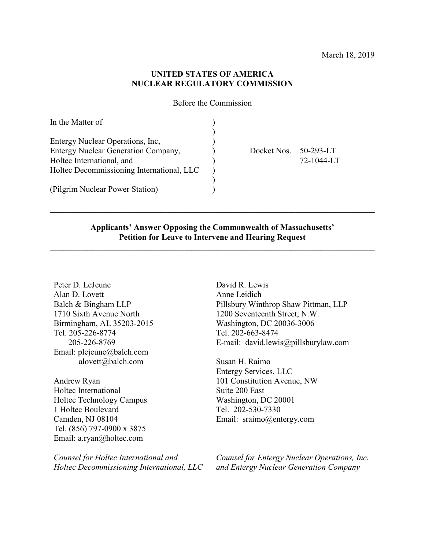### **UNITED STATES OF AMERICA NUCLEAR REGULATORY COMMISSION**

Before the Commission

| In the Matter of                          |             |               |
|-------------------------------------------|-------------|---------------|
|                                           |             |               |
| Entergy Nuclear Operations, Inc.          |             |               |
| Entergy Nuclear Generation Company,       | Docket Nos. | $50-293-1$ .T |
| Holtec International, and                 |             | 72-1044-LT    |
| Holtec Decommissioning International, LLC |             |               |
|                                           |             |               |
| (Pilgrim Nuclear Power Station)           |             |               |

#### **Applicants' Answer Opposing the Commonwealth of Massachusetts' Petition for Leave to Intervene and Hearing Request**

**\_\_\_\_\_\_\_\_\_\_\_\_\_\_\_\_\_\_\_\_\_\_\_\_\_\_\_\_\_\_\_\_\_\_\_\_\_\_\_\_\_\_\_\_\_\_\_\_\_\_\_\_\_\_\_\_\_\_\_\_\_\_\_\_\_\_\_\_\_\_\_\_\_\_\_\_\_\_**

**\_\_\_\_\_\_\_\_\_\_\_\_\_\_\_\_\_\_\_\_\_\_\_\_\_\_\_\_\_\_\_\_\_\_\_\_\_\_\_\_\_\_\_\_\_\_\_\_\_\_\_\_\_\_\_\_\_\_\_\_\_\_\_\_\_\_\_\_\_\_\_\_\_\_\_\_\_\_**

Peter D. LeJeune Alan D. Lovett Balch & Bingham LLP 1710 Sixth Avenue North Birmingham, AL 35203-2015 Tel. 205-226-8774 205-226-8769 Email: plejeune@balch.com alovett@balch.com

Andrew Ryan Holtec International Holtec Technology Campus 1 Holtec Boulevard Camden, NJ 08104 Tel. (856) 797-0900 x 3875 Email: a.ryan@holtec.com

*Counsel for Holtec International and Holtec Decommissioning International, LLC* David R. Lewis Anne Leidich Pillsbury Winthrop Shaw Pittman, LLP 1200 Seventeenth Street, N.W. Washington, DC 20036-3006 Tel. 202-663-8474 E-mail: david.lewis@pillsburylaw.com

Susan H. Raimo Entergy Services, LLC 101 Constitution Avenue, NW Suite 200 East Washington, DC 20001 Tel. 202-530-7330 Email: sraimo@entergy.com

*Counsel for Entergy Nuclear Operations, Inc. and Entergy Nuclear Generation Company*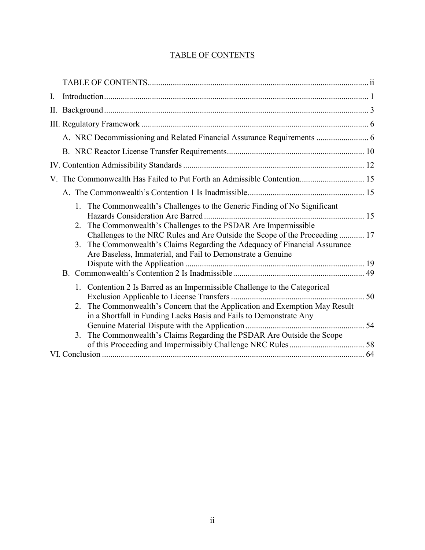## TABLE OF CONTENTS

| I. |          |                                                                                                                                                                                                                                                                                                                                                                    |  |
|----|----------|--------------------------------------------------------------------------------------------------------------------------------------------------------------------------------------------------------------------------------------------------------------------------------------------------------------------------------------------------------------------|--|
|    |          |                                                                                                                                                                                                                                                                                                                                                                    |  |
|    |          |                                                                                                                                                                                                                                                                                                                                                                    |  |
|    |          | A. NRC Decommissioning and Related Financial Assurance Requirements  6                                                                                                                                                                                                                                                                                             |  |
|    |          |                                                                                                                                                                                                                                                                                                                                                                    |  |
|    |          |                                                                                                                                                                                                                                                                                                                                                                    |  |
|    |          | V. The Commonwealth Has Failed to Put Forth an Admissible Contention 15                                                                                                                                                                                                                                                                                            |  |
|    |          |                                                                                                                                                                                                                                                                                                                                                                    |  |
|    | 2.<br>3. | 1. The Commonwealth's Challenges to the Generic Finding of No Significant<br>The Commonwealth's Challenges to the PSDAR Are Impermissible<br>Challenges to the NRC Rules and Are Outside the Scope of the Proceeding  17<br>The Commonwealth's Claims Regarding the Adequacy of Financial Assurance<br>Are Baseless, Immaterial, and Fail to Demonstrate a Genuine |  |
|    | 2.       | 1. Contention 2 Is Barred as an Impermissible Challenge to the Categorical<br>The Commonwealth's Concern that the Application and Exemption May Result<br>in a Shortfall in Funding Lacks Basis and Fails to Demonstrate Any                                                                                                                                       |  |
|    | 3.       | The Commonwealth's Claims Regarding the PSDAR Are Outside the Scope                                                                                                                                                                                                                                                                                                |  |
|    |          |                                                                                                                                                                                                                                                                                                                                                                    |  |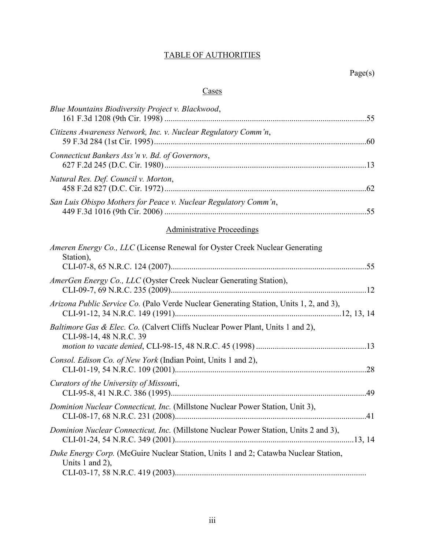# TABLE OF AUTHORITIES

### **Cases**

| Blue Mountains Biodiversity Project v. Blackwood,                                                         |
|-----------------------------------------------------------------------------------------------------------|
| Citizens Awareness Network, Inc. v. Nuclear Regulatory Comm'n,                                            |
| Connecticut Bankers Ass'n v. Bd. of Governors,                                                            |
| Natural Res. Def. Council v. Morton,                                                                      |
| San Luis Obispo Mothers for Peace v. Nuclear Regulatory Comm'n,                                           |
| <b>Administrative Proceedings</b>                                                                         |
| Ameren Energy Co., LLC (License Renewal for Oyster Creek Nuclear Generating<br>Station),                  |
| AmerGen Energy Co., LLC (Oyster Creek Nuclear Generating Station),                                        |
| Arizona Public Service Co. (Palo Verde Nuclear Generating Station, Units 1, 2, and 3),                    |
| Baltimore Gas & Elec. Co. (Calvert Cliffs Nuclear Power Plant, Units 1 and 2),<br>CLI-98-14, 48 N.R.C. 39 |
| Consol. Edison Co. of New York (Indian Point, Units 1 and 2),                                             |
| Curators of the University of Missouri,                                                                   |
| Dominion Nuclear Connecticut, Inc. (Millstone Nuclear Power Station, Unit 3),                             |
| Dominion Nuclear Connecticut, Inc. (Millstone Nuclear Power Station, Units 2 and 3),                      |
| Duke Energy Corp. (McGuire Nuclear Station, Units 1 and 2; Catawba Nuclear Station,<br>Units 1 and 2),    |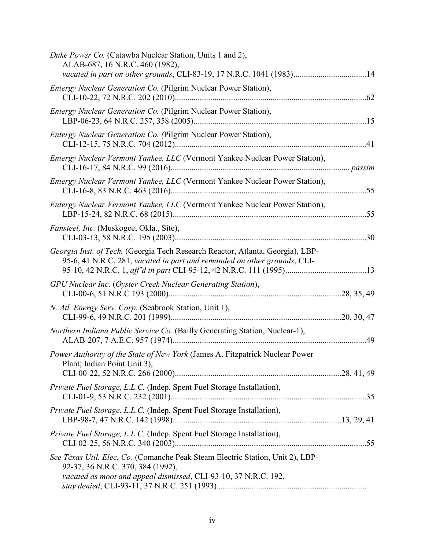| Duke Power Co. (Catawba Nuclear Station, Units 1 and 2),<br>ALAB-687, 16 N.R.C. 460 (1982),<br>vacated in part on other grounds, CLI-83-19, 17 N.R.C. 1041 (1983)14                    |  |
|----------------------------------------------------------------------------------------------------------------------------------------------------------------------------------------|--|
| Entergy Nuclear Generation Co. (Pilgrim Nuclear Power Station),                                                                                                                        |  |
| Entergy Nuclear Generation Co. (Pilgrim Nuclear Power Station),                                                                                                                        |  |
| Entergy Nuclear Generation Co. (Pilgrim Nuclear Power Station),                                                                                                                        |  |
| Entergy Nuclear Vermont Yankee, LLC (Vermont Yankee Nuclear Power Station),                                                                                                            |  |
| Entergy Nuclear Vermont Yankee, LLC (Vermont Yankee Nuclear Power Station),                                                                                                            |  |
| Entergy Nuclear Vermont Yankee, LLC (Vermont Yankee Nuclear Power Station),                                                                                                            |  |
| Fansteel, Inc. (Muskogee, Okla., Site),                                                                                                                                                |  |
| Georgia Inst. of Tech. (Georgia Tech Research Reactor, Atlanta, Georgia), LBP-<br>95-6, 41 N.R.C. 281, vacated in part and remanded on other grounds, CLI-                             |  |
| GPU Nuclear Inc. (Oyster Creek Nuclear Generating Station),                                                                                                                            |  |
| N. Atl. Energy Serv. Corp. (Seabrook Station, Unit 1),                                                                                                                                 |  |
| Northern Indiana Public Service Co. (Bailly Generating Station, Nuclear-1),                                                                                                            |  |
| Power Authority of the State of New York (James A. Fitzpatrick Nuclear Power<br>Plant; Indian Point Unit 3),                                                                           |  |
| Private Fuel Storage, L.L.C. (Indep. Spent Fuel Storage Installation),                                                                                                                 |  |
| Private Fuel Storage, L.L.C. (Indep. Spent Fuel Storage Installation),                                                                                                                 |  |
| Private Fuel Storage, L.L.C. (Indep. Spent Fuel Storage Installation),                                                                                                                 |  |
| See Texas Util. Elec. Co. (Comanche Peak Steam Electric Station, Unit 2), LBP-<br>92-37, 36 N.R.C. 370, 384 (1992),<br>vacated as moot and appeal dismissed, CLI-93-10, 37 N.R.C. 192, |  |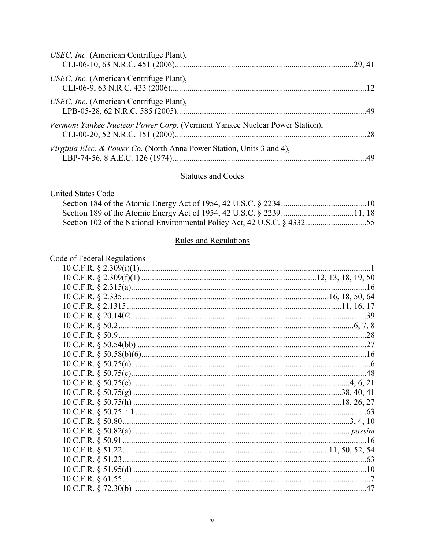| USEC, Inc. (American Centrifuge Plant),                                    |  |
|----------------------------------------------------------------------------|--|
| USEC, Inc. (American Centrifuge Plant),                                    |  |
| USEC, Inc. (American Centrifuge Plant),                                    |  |
| Vermont Yankee Nuclear Power Corp. (Vermont Yankee Nuclear Power Station), |  |
| Virginia Elec. & Power Co. (North Anna Power Station, Units 3 and 4),      |  |

#### **Statutes and Codes**

**United States Code** 

| Section 102 of the National Environmental Policy Act, 42 U.S.C. § 433255 |  |
|--------------------------------------------------------------------------|--|

#### **Rules and Regulations**

### Code of Federal Regulations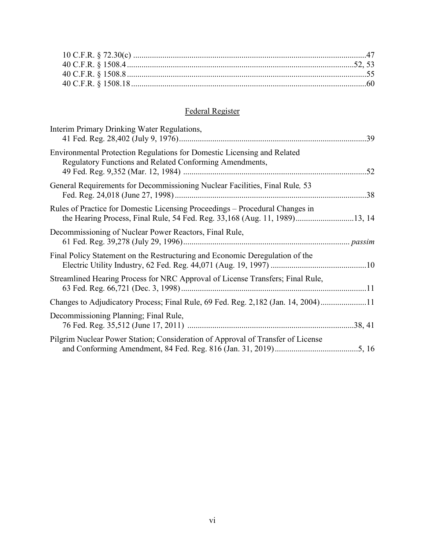# Federal Register

| Interim Primary Drinking Water Regulations,                                                                                                                |
|------------------------------------------------------------------------------------------------------------------------------------------------------------|
| Environmental Protection Regulations for Domestic Licensing and Related<br>Regulatory Functions and Related Conforming Amendments,                         |
| General Requirements for Decommissioning Nuclear Facilities, Final Rule, 53                                                                                |
| Rules of Practice for Domestic Licensing Proceedings – Procedural Changes in<br>the Hearing Process, Final Rule, 54 Fed. Reg. 33,168 (Aug. 11, 1989)13, 14 |
| Decommissioning of Nuclear Power Reactors, Final Rule,                                                                                                     |
| Final Policy Statement on the Restructuring and Economic Deregulation of the                                                                               |
| Streamlined Hearing Process for NRC Approval of License Transfers; Final Rule,                                                                             |
| Changes to Adjudicatory Process; Final Rule, 69 Fed. Reg. 2,182 (Jan. 14, 2004)11                                                                          |
| Decommissioning Planning; Final Rule,                                                                                                                      |
| Pilgrim Nuclear Power Station; Consideration of Approval of Transfer of License                                                                            |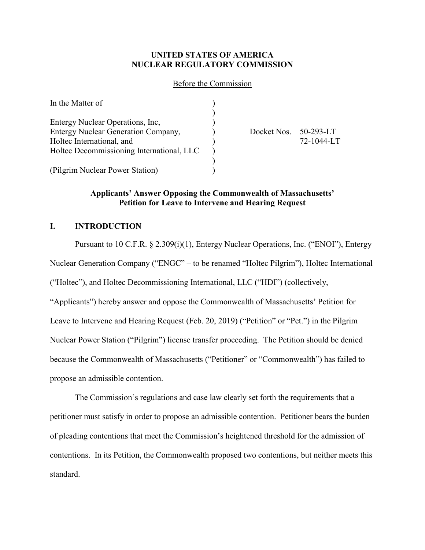### **UNITED STATES OF AMERICA NUCLEAR REGULATORY COMMISSION**

#### Before the Commission

| In the Matter of                          |                       |            |
|-------------------------------------------|-----------------------|------------|
|                                           |                       |            |
| Entergy Nuclear Operations, Inc.          |                       |            |
| Entergy Nuclear Generation Company,       | Docket Nos. 50-293-LT |            |
| Holtec International, and                 |                       | 72-1044-LT |
| Holtec Decommissioning International, LLC |                       |            |
|                                           |                       |            |
| (Pilgrim Nuclear Power Station)           |                       |            |

### **Applicants' Answer Opposing the Commonwealth of Massachusetts' Petition for Leave to Intervene and Hearing Request**

### **I. INTRODUCTION**

Pursuant to 10 C.F.R. § 2.309(i)(1), Entergy Nuclear Operations, Inc. ("ENOI"), Entergy Nuclear Generation Company ("ENGC" – to be renamed "Holtec Pilgrim"), Holtec International ("Holtec"), and Holtec Decommissioning International, LLC ("HDI") (collectively, "Applicants") hereby answer and oppose the Commonwealth of Massachusetts' Petition for Leave to Intervene and Hearing Request (Feb. 20, 2019) ("Petition" or "Pet.") in the Pilgrim Nuclear Power Station ("Pilgrim") license transfer proceeding. The Petition should be denied because the Commonwealth of Massachusetts ("Petitioner" or "Commonwealth") has failed to propose an admissible contention.

The Commission's regulations and case law clearly set forth the requirements that a petitioner must satisfy in order to propose an admissible contention. Petitioner bears the burden of pleading contentions that meet the Commission's heightened threshold for the admission of contentions. In its Petition, the Commonwealth proposed two contentions, but neither meets this standard.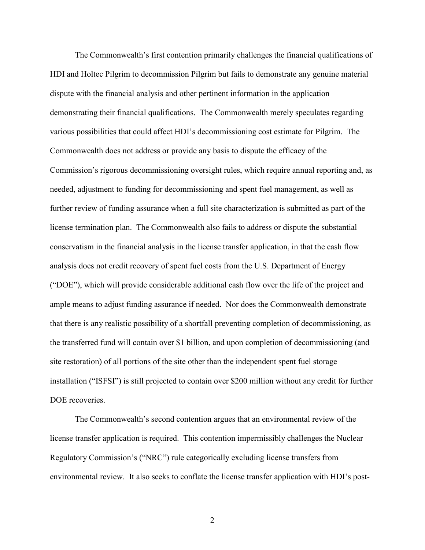The Commonwealth's first contention primarily challenges the financial qualifications of HDI and Holtec Pilgrim to decommission Pilgrim but fails to demonstrate any genuine material dispute with the financial analysis and other pertinent information in the application demonstrating their financial qualifications. The Commonwealth merely speculates regarding various possibilities that could affect HDI's decommissioning cost estimate for Pilgrim. The Commonwealth does not address or provide any basis to dispute the efficacy of the Commission's rigorous decommissioning oversight rules, which require annual reporting and, as needed, adjustment to funding for decommissioning and spent fuel management, as well as further review of funding assurance when a full site characterization is submitted as part of the license termination plan. The Commonwealth also fails to address or dispute the substantial conservatism in the financial analysis in the license transfer application, in that the cash flow analysis does not credit recovery of spent fuel costs from the U.S. Department of Energy ("DOE"), which will provide considerable additional cash flow over the life of the project and ample means to adjust funding assurance if needed. Nor does the Commonwealth demonstrate that there is any realistic possibility of a shortfall preventing completion of decommissioning, as the transferred fund will contain over \$1 billion, and upon completion of decommissioning (and site restoration) of all portions of the site other than the independent spent fuel storage installation ("ISFSI") is still projected to contain over \$200 million without any credit for further DOE recoveries.

The Commonwealth's second contention argues that an environmental review of the license transfer application is required. This contention impermissibly challenges the Nuclear Regulatory Commission's ("NRC") rule categorically excluding license transfers from environmental review. It also seeks to conflate the license transfer application with HDI's post-

2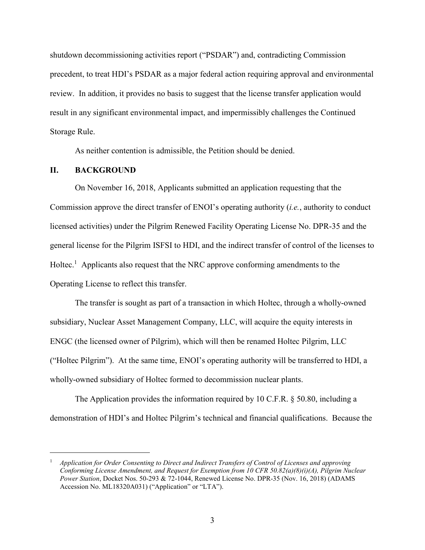shutdown decommissioning activities report ("PSDAR") and, contradicting Commission precedent, to treat HDI's PSDAR as a major federal action requiring approval and environmental review. In addition, it provides no basis to suggest that the license transfer application would result in any significant environmental impact, and impermissibly challenges the Continued Storage Rule.

As neither contention is admissible, the Petition should be denied.

#### **II. BACKGROUND**

On November 16, 2018, Applicants submitted an application requesting that the Commission approve the direct transfer of ENOI's operating authority (*i.e.*, authority to conduct licensed activities) under the Pilgrim Renewed Facility Operating License No. DPR-35 and the general license for the Pilgrim ISFSI to HDI, and the indirect transfer of control of the licenses to Holtec.<sup>1</sup> Applicants also request that the NRC approve conforming amendments to the Operating License to reflect this transfer.

The transfer is sought as part of a transaction in which Holtec, through a wholly-owned subsidiary, Nuclear Asset Management Company, LLC, will acquire the equity interests in ENGC (the licensed owner of Pilgrim), which will then be renamed Holtec Pilgrim, LLC ("Holtec Pilgrim"). At the same time, ENOI's operating authority will be transferred to HDI, a wholly-owned subsidiary of Holtec formed to decommission nuclear plants.

The Application provides the information required by 10 C.F.R. § 50.80, including a demonstration of HDI's and Holtec Pilgrim's technical and financial qualifications. Because the

 <sup>1</sup> *Application for Order Consenting to Direct and Indirect Transfers of Control of Licenses and approving Conforming License Amendment, and Request for Exemption from 10 CFR 50.82(a)(8)(i)(A), Pilgrim Nuclear Power Station*, Docket Nos. 50-293 & 72-1044, Renewed License No. DPR-35 (Nov. 16, 2018) (ADAMS Accession No. ML18320A031) ("Application" or "LTA").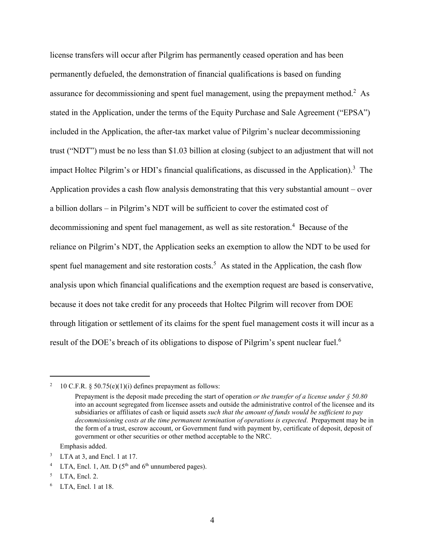license transfers will occur after Pilgrim has permanently ceased operation and has been permanently defueled, the demonstration of financial qualifications is based on funding assurance for decommissioning and spent fuel management, using the prepayment method.<sup>2</sup> As stated in the Application, under the terms of the Equity Purchase and Sale Agreement ("EPSA") included in the Application, the after-tax market value of Pilgrim's nuclear decommissioning trust ("NDT") must be no less than \$1.03 billion at closing (subject to an adjustment that will not impact Holtec Pilgrim's or HDI's financial qualifications, as discussed in the Application).<sup>3</sup> The Application provides a cash flow analysis demonstrating that this very substantial amount – over a billion dollars – in Pilgrim's NDT will be sufficient to cover the estimated cost of decommissioning and spent fuel management, as well as site restoration.<sup>4</sup> Because of the reliance on Pilgrim's NDT, the Application seeks an exemption to allow the NDT to be used for spent fuel management and site restoration costs.<sup>5</sup> As stated in the Application, the cash flow analysis upon which financial qualifications and the exemption request are based is conservative, because it does not take credit for any proceeds that Holtec Pilgrim will recover from DOE through litigation or settlement of its claims for the spent fuel management costs it will incur as a result of the DOE's breach of its obligations to dispose of Pilgrim's spent nuclear fuel.<sup>6</sup>

<sup>&</sup>lt;sup>2</sup> 10 C.F.R. § 50.75(e)(1)(i) defines prepayment as follows:

Prepayment is the deposit made preceding the start of operation *or the transfer of a license under § 50.80* into an account segregated from licensee assets and outside the administrative control of the licensee and its subsidiaries or affiliates of cash or liquid assets *such that the amount of funds would be sufficient to pay decommissioning costs at the time permanent termination of operations is expected*. Prepayment may be in the form of a trust, escrow account, or Government fund with payment by, certificate of deposit, deposit of government or other securities or other method acceptable to the NRC.

Emphasis added.

LTA at 3, and Encl. 1 at 17.

<sup>&</sup>lt;sup>4</sup> LTA, Encl. 1, Att. D ( $5<sup>th</sup>$  and  $6<sup>th</sup>$  unnumbered pages).

LTA, Encl. 2.

LTA, Encl. 1 at 18.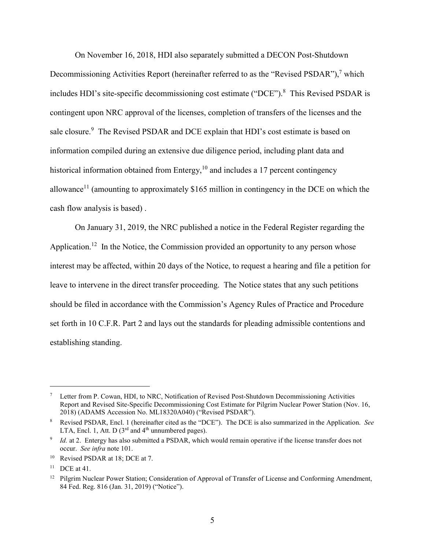On November 16, 2018, HDI also separately submitted a DECON Post-Shutdown Decommissioning Activities Report (hereinafter referred to as the "Revised PSDAR"),<sup>7</sup> which includes HDI's site-specific decommissioning cost estimate ("DCE"). 8 This Revised PSDAR is contingent upon NRC approval of the licenses, completion of transfers of the licenses and the sale closure.<sup>9</sup> The Revised PSDAR and DCE explain that HDI's cost estimate is based on information compiled during an extensive due diligence period, including plant data and historical information obtained from Entergy, $10$  and includes a 17 percent contingency allowance<sup>11</sup> (amounting to approximately \$165 million in contingency in the DCE on which the cash flow analysis is based) .

On January 31, 2019, the NRC published a notice in the Federal Register regarding the Application.<sup>12</sup> In the Notice, the Commission provided an opportunity to any person whose interest may be affected, within 20 days of the Notice, to request a hearing and file a petition for leave to intervene in the direct transfer proceeding. The Notice states that any such petitions should be filed in accordance with the Commission's Agency Rules of Practice and Procedure set forth in 10 C.F.R. Part 2 and lays out the standards for pleading admissible contentions and establishing standing.

 <sup>7</sup> Letter from P. Cowan, HDI, to NRC, Notification of Revised Post-Shutdown Decommissioning Activities Report and Revised Site-Specific Decommissioning Cost Estimate for Pilgrim Nuclear Power Station (Nov. 16, 2018) (ADAMS Accession No. ML18320A040) ("Revised PSDAR").

<sup>8</sup> Revised PSDAR, Encl. 1 (hereinafter cited as the "DCE"). The DCE is also summarized in the Application. *See*  LTA, Encl. 1, Att. D ( $3<sup>rd</sup>$  and  $4<sup>th</sup>$  unnumbered pages).

*Id.* at 2. Entergy has also submitted a PSDAR, which would remain operative if the license transfer does not occur. *See infra* note 101.

<sup>&</sup>lt;sup>10</sup> Revised PSDAR at 18; DCE at 7.

 $11$  DCE at 41.

<sup>&</sup>lt;sup>12</sup> Pilgrim Nuclear Power Station; Consideration of Approval of Transfer of License and Conforming Amendment, 84 Fed. Reg. 816 (Jan. 31, 2019) ("Notice").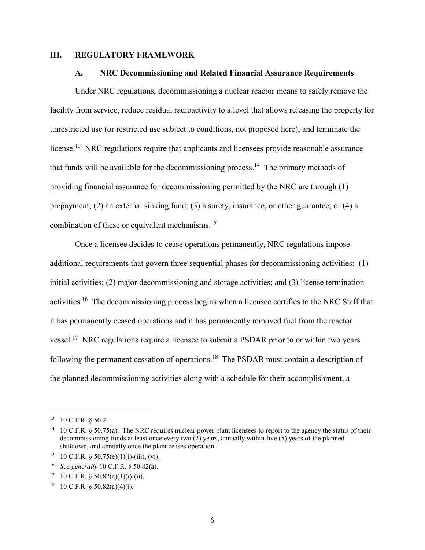#### **III. REGULATORY FRAMEWORK**

#### **A. NRC Decommissioning and Related Financial Assurance Requirements**

Under NRC regulations, decommissioning a nuclear reactor means to safely remove the facility from service, reduce residual radioactivity to a level that allows releasing the property for unrestricted use (or restricted use subject to conditions, not proposed here), and terminate the license.<sup>13</sup> NRC regulations require that applicants and licensees provide reasonable assurance that funds will be available for the decommissioning process.<sup>14</sup> The primary methods of providing financial assurance for decommissioning permitted by the NRC are through (1) prepayment; (2) an external sinking fund; (3) a surety, insurance, or other guarantee; or (4) a combination of these or equivalent mechanisms.<sup>15</sup>

Once a licensee decides to cease operations permanently, NRC regulations impose additional requirements that govern three sequential phases for decommissioning activities: (1) initial activities; (2) major decommissioning and storage activities; and (3) license termination activities.<sup>16</sup> The decommissioning process begins when a licensee certifies to the NRC Staff that it has permanently ceased operations and it has permanently removed fuel from the reactor vessel.<sup>17</sup> NRC regulations require a licensee to submit a PSDAR prior to or within two years following the permanent cessation of operations.<sup>18</sup> The PSDAR must contain a description of the planned decommissioning activities along with a schedule for their accomplishment, a

 <sup>13</sup> <sup>10</sup> C.F.R. § 50.2.

<sup>&</sup>lt;sup>14</sup> 10 C.F.R. § 50.75(a). The NRC requires nuclear power plant licensees to report to the agency the status of their decommissioning funds at least once every two (2) years, annually within five (5) years of the planned shutdown, and annually once the plant ceases operation.

<sup>&</sup>lt;sup>15</sup> 10 C.F.R. § 50.75(e)(1)(i)-(iii), (vi).

<sup>16</sup> *See generally* 10 C.F.R. § 50.82(a).

<sup>&</sup>lt;sup>17</sup> 10 C.F.R.  $\frac{$50.82(a)(1)(i)-(ii)}{i}$ .

 $18$  10 C.F.R. § 50.82(a)(4)(i).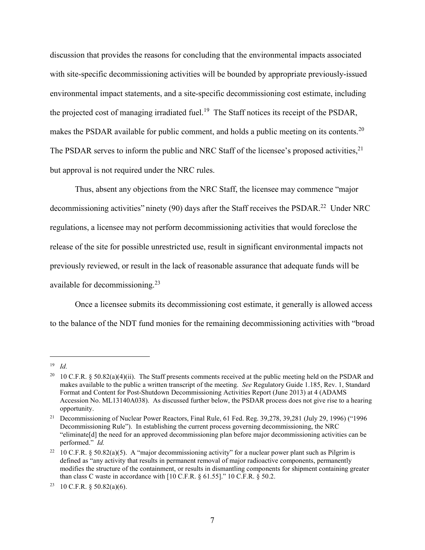discussion that provides the reasons for concluding that the environmental impacts associated with site-specific decommissioning activities will be bounded by appropriate previously-issued environmental impact statements, and a site-specific decommissioning cost estimate, including the projected cost of managing irradiated fuel.<sup>19</sup> The Staff notices its receipt of the PSDAR, makes the PSDAR available for public comment, and holds a public meeting on its contents.<sup>20</sup> The PSDAR serves to inform the public and NRC Staff of the licensee's proposed activities,<sup>21</sup> but approval is not required under the NRC rules.

Thus, absent any objections from the NRC Staff, the licensee may commence "major decommissioning activities" ninety (90) days after the Staff receives the PSDAR.<sup>22</sup> Under NRC regulations, a licensee may not perform decommissioning activities that would foreclose the release of the site for possible unrestricted use, result in significant environmental impacts not previously reviewed, or result in the lack of reasonable assurance that adequate funds will be available for decommissioning.<sup>23</sup>

Once a licensee submits its decommissioning cost estimate, it generally is allowed access to the balance of the NDT fund monies for the remaining decommissioning activities with "broad

 <sup>19</sup> *Id.*

<sup>&</sup>lt;sup>20</sup> 10 C.F.R. § 50.82(a)(4)(ii). The Staff presents comments received at the public meeting held on the PSDAR and makes available to the public a written transcript of the meeting. *See* Regulatory Guide 1.185, Rev. 1, Standard Format and Content for Post-Shutdown Decommissioning Activities Report (June 2013) at 4 (ADAMS Accession No. ML13140A038). As discussed further below, the PSDAR process does not give rise to a hearing opportunity.

<sup>&</sup>lt;sup>21</sup> Decommissioning of Nuclear Power Reactors, Final Rule, 61 Fed. Reg. 39,278, 39,281 (July 29, 1996) ("1996 Decommissioning Rule"). In establishing the current process governing decommissioning, the NRC "eliminate[d] the need for an approved decommissioning plan before major decommissioning activities can be performed." *Id.*

<sup>&</sup>lt;sup>22</sup> 10 C.F.R. § 50.82(a)(5). A "major decommissioning activity" for a nuclear power plant such as Pilgrim is defined as "any activity that results in permanent removal of major radioactive components, permanently modifies the structure of the containment, or results in dismantling components for shipment containing greater than class C waste in accordance with  $[10 \text{ C.F.R.} \$   $61.55]$ ."  $10 \text{ C.F.R.} \$   $50.2$ .

<sup>&</sup>lt;sup>23</sup> 10 C.F.R. § 50.82(a)(6).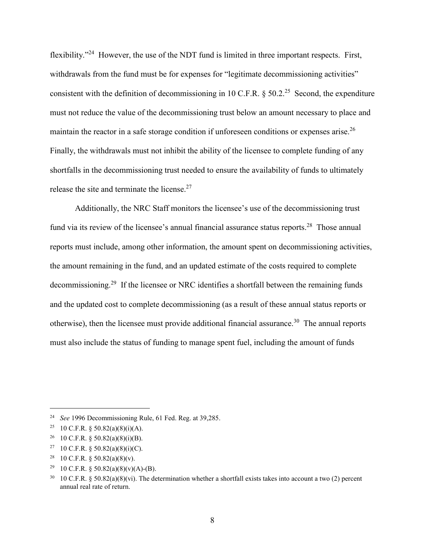flexibility."<sup>24</sup> However, the use of the NDT fund is limited in three important respects. First, withdrawals from the fund must be for expenses for "legitimate decommissioning activities" consistent with the definition of decommissioning in 10 C.F.R.  $\S$  50.2<sup>25</sup> Second, the expenditure must not reduce the value of the decommissioning trust below an amount necessary to place and maintain the reactor in a safe storage condition if unforeseen conditions or expenses arise.<sup>26</sup> Finally, the withdrawals must not inhibit the ability of the licensee to complete funding of any shortfalls in the decommissioning trust needed to ensure the availability of funds to ultimately release the site and terminate the license.<sup>27</sup>

Additionally, the NRC Staff monitors the licensee's use of the decommissioning trust fund via its review of the licensee's annual financial assurance status reports.<sup>28</sup> Those annual reports must include, among other information, the amount spent on decommissioning activities, the amount remaining in the fund, and an updated estimate of the costs required to complete decommissioning.<sup>29</sup> If the licensee or NRC identifies a shortfall between the remaining funds and the updated cost to complete decommissioning (as a result of these annual status reports or otherwise), then the licensee must provide additional financial assurance.<sup>30</sup> The annual reports must also include the status of funding to manage spent fuel, including the amount of funds

 <sup>24</sup> *See* 1996 Decommissioning Rule, 61 Fed. Reg. at 39,285.

<sup>&</sup>lt;sup>25</sup> 10 C.F.R. § 50.82(a)(8)(i)(A).

<sup>&</sup>lt;sup>26</sup> 10 C.F.R. § 50.82(a)(8)(i)(B).

<sup>&</sup>lt;sup>27</sup> 10 C.F.R. § 50.82(a)(8)(i)(C).

<sup>&</sup>lt;sup>28</sup> 10 C.F.R. § 50.82(a)(8)(v).

<sup>&</sup>lt;sup>29</sup> 10 C.F.R. § 50.82(a)(8)(v)(A)-(B).

 $30 \text{ } 10 \text{ C.F.R. }$  § 50.82(a)(8)(vi). The determination whether a shortfall exists takes into account a two (2) percent annual real rate of return.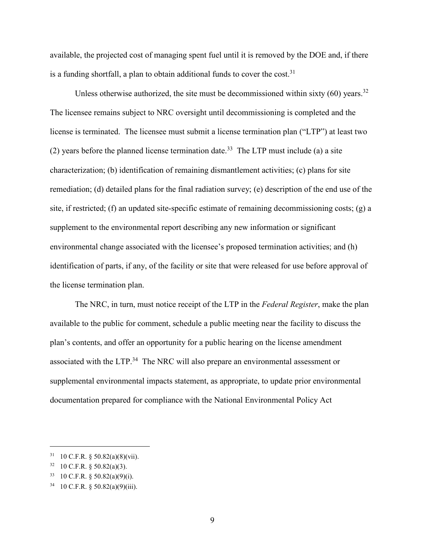available, the projected cost of managing spent fuel until it is removed by the DOE and, if there is a funding shortfall, a plan to obtain additional funds to cover the cost.<sup>31</sup>

Unless otherwise authorized, the site must be decommissioned within sixty  $(60)$  years.<sup>32</sup> The licensee remains subject to NRC oversight until decommissioning is completed and the license is terminated. The licensee must submit a license termination plan ("LTP") at least two (2) years before the planned license termination date.<sup>33</sup> The LTP must include (a) a site characterization; (b) identification of remaining dismantlement activities; (c) plans for site remediation; (d) detailed plans for the final radiation survey; (e) description of the end use of the site, if restricted; (f) an updated site-specific estimate of remaining decommissioning costs; (g) a supplement to the environmental report describing any new information or significant environmental change associated with the licensee's proposed termination activities; and (h) identification of parts, if any, of the facility or site that were released for use before approval of the license termination plan.

The NRC, in turn, must notice receipt of the LTP in the *Federal Register*, make the plan available to the public for comment, schedule a public meeting near the facility to discuss the plan's contents, and offer an opportunity for a public hearing on the license amendment associated with the LTP.<sup>34</sup> The NRC will also prepare an environmental assessment or supplemental environmental impacts statement, as appropriate, to update prior environmental documentation prepared for compliance with the National Environmental Policy Act

 $31$  10 C.F.R. § 50.82(a)(8)(vii).

 $32$  10 C.F.R. § 50.82(a)(3).

 $33$  10 C.F.R. § 50.82(a)(9)(i).

 $34$  10 C.F.R. § 50.82(a)(9)(iii).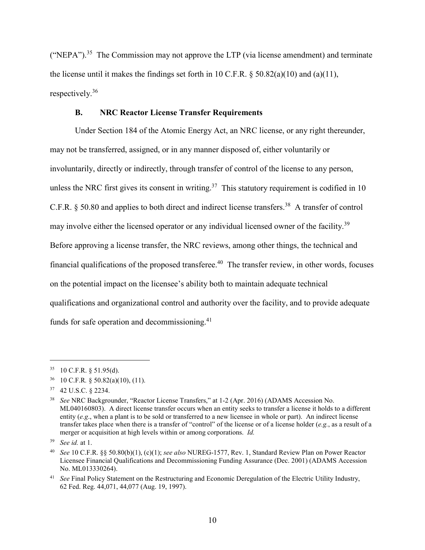("NEPA").<sup>35</sup> The Commission may not approve the LTP (via license amendment) and terminate the license until it makes the findings set forth in 10 C.F.R.  $\S$  50.82(a)(10) and (a)(11), respectively. 36

#### **B. NRC Reactor License Transfer Requirements**

Under Section 184 of the Atomic Energy Act, an NRC license, or any right thereunder, may not be transferred, assigned, or in any manner disposed of, either voluntarily or involuntarily, directly or indirectly, through transfer of control of the license to any person, unless the NRC first gives its consent in writing.<sup>37</sup> This statutory requirement is codified in 10 C.F.R. § 50.80 and applies to both direct and indirect license transfers.<sup>38</sup> A transfer of control may involve either the licensed operator or any individual licensed owner of the facility.<sup>39</sup> Before approving a license transfer, the NRC reviews, among other things, the technical and financial qualifications of the proposed transferee.<sup>40</sup> The transfer review, in other words, focuses on the potential impact on the licensee's ability both to maintain adequate technical qualifications and organizational control and authority over the facility, and to provide adequate funds for safe operation and decommissioning.<sup>41</sup>

 $35$  10 C.F.R. § 51.95(d).

<sup>36</sup> 10 C.F.R*.* § 50.82(a)(10), (11).

<sup>37</sup> 42 U.S.C. § 2234.

<sup>38</sup> *See* NRC Backgrounder, "Reactor License Transfers," at 1-2 (Apr. 2016) (ADAMS Accession No. ML040160803). A direct license transfer occurs when an entity seeks to transfer a license it holds to a different entity (*e.g*., when a plant is to be sold or transferred to a new licensee in whole or part). An indirect license transfer takes place when there is a transfer of "control" of the license or of a license holder (*e.g.*, as a result of a merger or acquisition at high levels within or among corporations. *Id.*

<sup>39</sup> *See id.* at 1.

<sup>40</sup> *See* 10 C.F.R. §§ 50.80(b)(1), (c)(1); *see also* NUREG-1577, Rev. 1, Standard Review Plan on Power Reactor Licensee Financial Qualifications and Decommissioning Funding Assurance (Dec. 2001) (ADAMS Accession No. ML013330264).

<sup>&</sup>lt;sup>41</sup> *See* Final Policy Statement on the Restructuring and Economic Deregulation of the Electric Utility Industry, 62 Fed. Reg. 44,071, 44,077 (Aug. 19, 1997).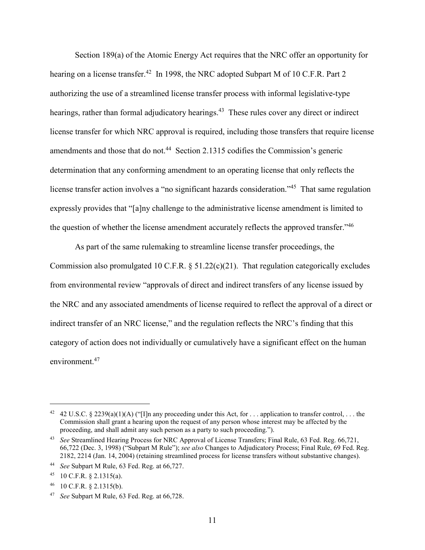Section 189(a) of the Atomic Energy Act requires that the NRC offer an opportunity for hearing on a license transfer.<sup>42</sup> In 1998, the NRC adopted Subpart M of 10 C.F.R. Part 2 authorizing the use of a streamlined license transfer process with informal legislative-type hearings, rather than formal adjudicatory hearings.<sup>43</sup> These rules cover any direct or indirect license transfer for which NRC approval is required, including those transfers that require license amendments and those that do not.<sup>44</sup> Section 2.1315 codifies the Commission's generic determination that any conforming amendment to an operating license that only reflects the license transfer action involves a "no significant hazards consideration."<sup>45</sup> That same regulation expressly provides that "[a]ny challenge to the administrative license amendment is limited to the question of whether the license amendment accurately reflects the approved transfer."<sup>46</sup>

As part of the same rulemaking to streamline license transfer proceedings, the Commission also promulgated 10 C.F.R. § 51.22(c)(21). That regulation categorically excludes from environmental review "approvals of direct and indirect transfers of any license issued by the NRC and any associated amendments of license required to reflect the approval of a direct or indirect transfer of an NRC license," and the regulation reflects the NRC's finding that this category of action does not individually or cumulatively have a significant effect on the human environment.<sup>47</sup>

<sup>&</sup>lt;sup>42</sup> 42 U.S.C. § 2239(a)(1)(A) ("[I]n any proceeding under this Act, for . . . application to transfer control, . . . the Commission shall grant a hearing upon the request of any person whose interest may be affected by the proceeding, and shall admit any such person as a party to such proceeding.").

<sup>43</sup> *See* Streamlined Hearing Process for NRC Approval of License Transfers; Final Rule, 63 Fed. Reg. 66,721, 66,722 (Dec. 3, 1998) ("Subpart M Rule"); *see also* Changes to Adjudicatory Process; Final Rule, 69 Fed. Reg. 2182, 2214 (Jan. 14, 2004) (retaining streamlined process for license transfers without substantive changes).

<sup>44</sup> *See* Subpart M Rule, 63 Fed. Reg. at 66,727.

<sup>45 10</sup> C.F.R.  $\S$  2.1315(a).

 $^{46}$  10 C.F.R. § 2.1315(b).

<sup>47</sup> *See* Subpart M Rule, 63 Fed. Reg. at 66,728.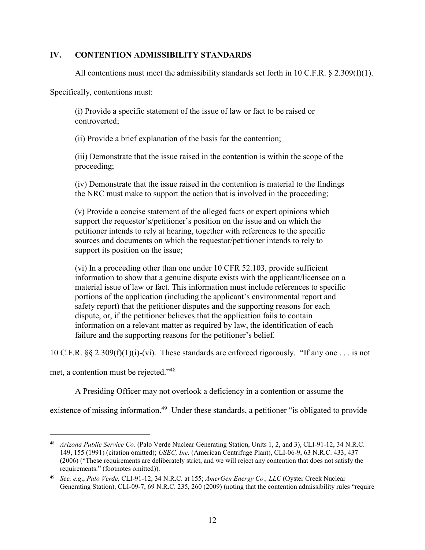### **IV. CONTENTION ADMISSIBILITY STANDARDS**

All contentions must meet the admissibility standards set forth in 10 C.F.R.  $\S 2.309(f)(1)$ .

Specifically, contentions must:

(i) Provide a specific statement of the issue of law or fact to be raised or controverted;

(ii) Provide a brief explanation of the basis for the contention;

(iii) Demonstrate that the issue raised in the contention is within the scope of the proceeding;

(iv) Demonstrate that the issue raised in the contention is material to the findings the NRC must make to support the action that is involved in the proceeding;

(v) Provide a concise statement of the alleged facts or expert opinions which support the requestor's/petitioner's position on the issue and on which the petitioner intends to rely at hearing, together with references to the specific sources and documents on which the requestor/petitioner intends to rely to support its position on the issue;

(vi) In a proceeding other than one under 10 CFR 52.103, provide sufficient information to show that a genuine dispute exists with the applicant/licensee on a material issue of law or fact. This information must include references to specific portions of the application (including the applicant's environmental report and safety report) that the petitioner disputes and the supporting reasons for each dispute, or, if the petitioner believes that the application fails to contain information on a relevant matter as required by law, the identification of each failure and the supporting reasons for the petitioner's belief.

10 C.F.R. §§ 2.309(f)(1)(i)-(vi). These standards are enforced rigorously. "If any one . . . is not

met, a contention must be rejected."48

A Presiding Officer may not overlook a deficiency in a contention or assume the

existence of missing information.<sup>49</sup> Under these standards, a petitioner "is obligated to provide

 <sup>48</sup> *Arizona Public Service Co.* (Palo Verde Nuclear Generating Station, Units 1, 2, and 3), CLI-91-12, 34 N.R.C. 149, 155 (1991) (citation omitted); *USEC, Inc.* (American Centrifuge Plant), CLI-06-9, 63 N.R.C. 433, 437 (2006) ("These requirements are deliberately strict, and we will reject any contention that does not satisfy the requirements." (footnotes omitted)).

<sup>49</sup> *See, e.g*., *Palo Verde,* CLI-91-12, 34 N.R.C. at 155; *AmerGen Energy Co., LLC* (Oyster Creek Nuclear Generating Station), CLI-09-7, 69 N.R.C. 235, 260 (2009) (noting that the contention admissibility rules "require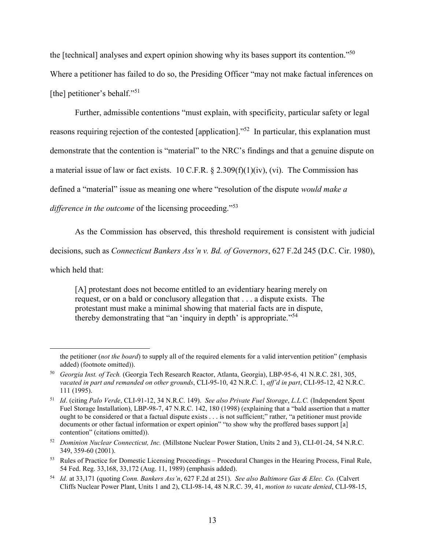the [technical] analyses and expert opinion showing why its bases support its contention."50 Where a petitioner has failed to do so, the Presiding Officer "may not make factual inferences on [the] petitioner's behalf."<sup>51</sup>

Further, admissible contentions "must explain, with specificity, particular safety or legal reasons requiring rejection of the contested [application]."52 In particular, this explanation must demonstrate that the contention is "material" to the NRC's findings and that a genuine dispute on a material issue of law or fact exists.  $10 \text{ C.F.R.}$  §  $2.309(f)(1)(iv)$ , (vi). The Commission has defined a "material" issue as meaning one where "resolution of the dispute *would make a difference in the outcome* of the licensing proceeding."<sup>53</sup>

As the Commission has observed, this threshold requirement is consistent with judicial decisions, such as *Connecticut Bankers Ass'n v. Bd. of Governors*, 627 F.2d 245 (D.C. Cir. 1980), which held that:

[A] protestant does not become entitled to an evidentiary hearing merely on request, or on a bald or conclusory allegation that . . . a dispute exists. The protestant must make a minimal showing that material facts are in dispute, thereby demonstrating that "an 'inquiry in depth' is appropriate."<sup>54</sup>

 $\overline{a}$ 

the petitioner (*not the board*) to supply all of the required elements for a valid intervention petition" (emphasis added) (footnote omitted)).

<sup>50</sup> *Georgia Inst. of Tech.* (Georgia Tech Research Reactor, Atlanta, Georgia), LBP-95-6, 41 N.R.C. 281, 305, *vacated in part and remanded on other grounds*, CLI-95-10, 42 N.R.C. 1, *aff'd in part*, CLI-95-12, 42 N.R.C. 111 (1995).

<sup>51</sup> *Id*. (citing *Palo Verde*, CLI-91-12, 34 N.R.C. 149). *See also Private Fuel Storage*, *L.L.C.* (Independent Spent Fuel Storage Installation), LBP-98-7, 47 N.R.C. 142, 180 (1998) (explaining that a "bald assertion that a matter ought to be considered or that a factual dispute exists . . . is not sufficient;" rather, "a petitioner must provide documents or other factual information or expert opinion" "to show why the proffered bases support [a] contention" (citations omitted)).

<sup>52</sup> *Dominion Nuclear Connecticut, Inc.* (Millstone Nuclear Power Station, Units 2 and 3), CLI-01-24, 54 N.R.C. 349, 359-60 (2001).

<sup>&</sup>lt;sup>53</sup> Rules of Practice for Domestic Licensing Proceedings – Procedural Changes in the Hearing Process, Final Rule, 54 Fed. Reg. 33,168, 33,172 (Aug. 11, 1989) (emphasis added).

<sup>54</sup> *Id.* at 33,171 (quoting *Conn. Bankers Ass'n*, 627 F.2d at 251). *See also Baltimore Gas & Elec. Co.* (Calvert Cliffs Nuclear Power Plant, Units 1 and 2), CLI-98-14, 48 N.R.C. 39, 41, *motion to vacate denied*, CLI-98-15,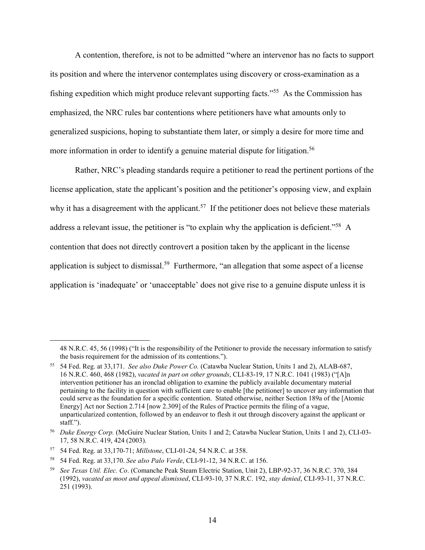A contention, therefore, is not to be admitted "where an intervenor has no facts to support its position and where the intervenor contemplates using discovery or cross-examination as a fishing expedition which might produce relevant supporting facts."55 As the Commission has emphasized, the NRC rules bar contentions where petitioners have what amounts only to generalized suspicions, hoping to substantiate them later, or simply a desire for more time and more information in order to identify a genuine material dispute for litigation.<sup>56</sup>

Rather, NRC's pleading standards require a petitioner to read the pertinent portions of the license application, state the applicant's position and the petitioner's opposing view, and explain why it has a disagreement with the applicant.<sup>57</sup> If the petitioner does not believe these materials address a relevant issue, the petitioner is "to explain why the application is deficient."<sup>58</sup> A contention that does not directly controvert a position taken by the applicant in the license application is subject to dismissal.<sup>59</sup> Furthermore, "an allegation that some aspect of a license application is 'inadequate' or 'unacceptable' does not give rise to a genuine dispute unless it is

-

<sup>48</sup> N.R.C. 45, 56 (1998) ("It is the responsibility of the Petitioner to provide the necessary information to satisfy the basis requirement for the admission of its contentions.").

<sup>55</sup> 54 Fed. Reg. at 33,171. *See also Duke Power Co.* (Catawba Nuclear Station, Units 1 and 2), ALAB-687, 16 N.R.C. 460, 468 (1982), *vacated in part on other grounds*, CLI-83-19, 17 N.R.C. 1041 (1983) ("[A]n intervention petitioner has an ironclad obligation to examine the publicly available documentary material pertaining to the facility in question with sufficient care to enable [the petitioner] to uncover any information that could serve as the foundation for a specific contention. Stated otherwise, neither Section 189a of the [Atomic Energy] Act nor Section 2.714 [now 2.309] of the Rules of Practice permits the filing of a vague, unparticularized contention, followed by an endeavor to flesh it out through discovery against the applicant or staff.").

<sup>56</sup> *Duke Energy Corp.* (McGuire Nuclear Station, Units 1 and 2; Catawba Nuclear Station, Units 1 and 2), CLI-03- 17, 58 N.R.C. 419, 424 (2003).

<sup>57</sup> 54 Fed. Reg. at 33,170-71; *Millstone*, CLI-01-24, 54 N.R.C. at 358.

<sup>58</sup> 54 Fed. Reg. at 33,170. *See also Palo Verde*, CLI-91-12, 34 N.R.C. at 156.

<sup>59</sup> *See Texas Util. Elec. Co*. (Comanche Peak Steam Electric Station, Unit 2), LBP-92-37, 36 N.R.C. 370, 384 (1992), *vacated as moot and appeal dismissed*, CLI-93-10, 37 N.R.C. 192, *stay denied*, CLI-93-11, 37 N.R.C. 251 (1993).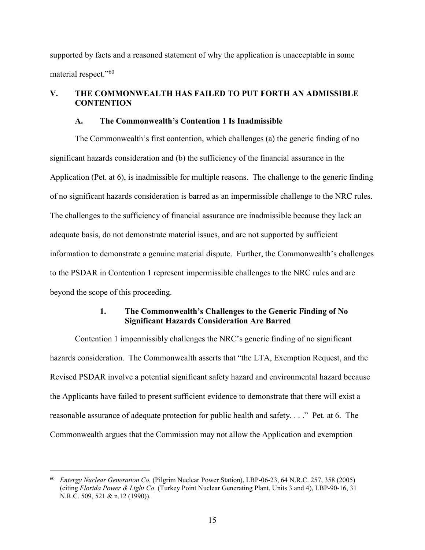supported by facts and a reasoned statement of why the application is unacceptable in some material respect."60

### **V. THE COMMONWEALTH HAS FAILED TO PUT FORTH AN ADMISSIBLE CONTENTION**

#### **A. The Commonwealth's Contention 1 Is Inadmissible**

The Commonwealth's first contention, which challenges (a) the generic finding of no significant hazards consideration and (b) the sufficiency of the financial assurance in the Application (Pet. at 6), is inadmissible for multiple reasons. The challenge to the generic finding of no significant hazards consideration is barred as an impermissible challenge to the NRC rules. The challenges to the sufficiency of financial assurance are inadmissible because they lack an adequate basis, do not demonstrate material issues, and are not supported by sufficient information to demonstrate a genuine material dispute. Further, the Commonwealth's challenges to the PSDAR in Contention 1 represent impermissible challenges to the NRC rules and are beyond the scope of this proceeding.

### **1. The Commonwealth's Challenges to the Generic Finding of No Significant Hazards Consideration Are Barred**

Contention 1 impermissibly challenges the NRC's generic finding of no significant hazards consideration. The Commonwealth asserts that "the LTA, Exemption Request, and the Revised PSDAR involve a potential significant safety hazard and environmental hazard because the Applicants have failed to present sufficient evidence to demonstrate that there will exist a reasonable assurance of adequate protection for public health and safety. . . ." Pet. at 6. The Commonwealth argues that the Commission may not allow the Application and exemption

 <sup>60</sup> *Entergy Nuclear Generation Co.* (Pilgrim Nuclear Power Station), LBP-06-23, 64 N.R.C. 257, 358 (2005) (citing *Florida Power & Light Co*. (Turkey Point Nuclear Generating Plant, Units 3 and 4), LBP-90-16, 31 N.R.C. 509, 521 & n.12 (1990)).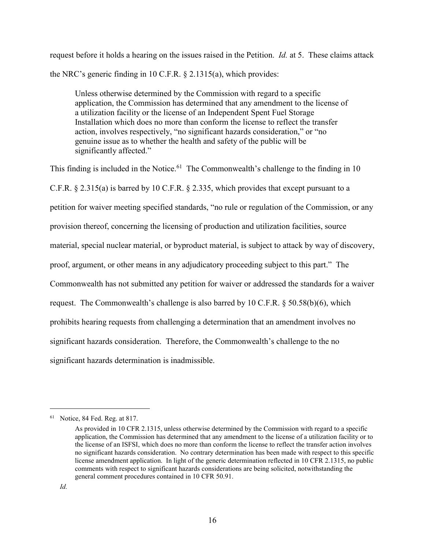request before it holds a hearing on the issues raised in the Petition. *Id.* at 5. These claims attack the NRC's generic finding in 10 C.F.R. § 2.1315(a), which provides:

Unless otherwise determined by the Commission with regard to a specific application, the Commission has determined that any amendment to the license of a utilization facility or the license of an Independent Spent Fuel Storage Installation which does no more than conform the license to reflect the transfer action, involves respectively, "no significant hazards consideration," or "no genuine issue as to whether the health and safety of the public will be significantly affected."

This finding is included in the Notice.<sup>61</sup> The Commonwealth's challenge to the finding in 10 C.F.R. § 2.315(a) is barred by 10 C.F.R. § 2.335, which provides that except pursuant to a petition for waiver meeting specified standards, "no rule or regulation of the Commission, or any provision thereof, concerning the licensing of production and utilization facilities, source material, special nuclear material, or byproduct material, is subject to attack by way of discovery, proof, argument, or other means in any adjudicatory proceeding subject to this part." The Commonwealth has not submitted any petition for waiver or addressed the standards for a waiver request. The Commonwealth's challenge is also barred by 10 C.F.R. § 50.58(b)(6), which prohibits hearing requests from challenging a determination that an amendment involves no significant hazards consideration. Therefore, the Commonwealth's challenge to the no significant hazards determination is inadmissible.

 <sup>61</sup> Notice, 84 Fed. Reg. at 817.

As provided in 10 CFR 2.1315, unless otherwise determined by the Commission with regard to a specific application, the Commission has determined that any amendment to the license of a utilization facility or to the license of an ISFSI, which does no more than conform the license to reflect the transfer action involves no significant hazards consideration. No contrary determination has been made with respect to this specific license amendment application. In light of the generic determination reflected in 10 CFR 2.1315, no public comments with respect to significant hazards considerations are being solicited, notwithstanding the general comment procedures contained in 10 CFR 50.91.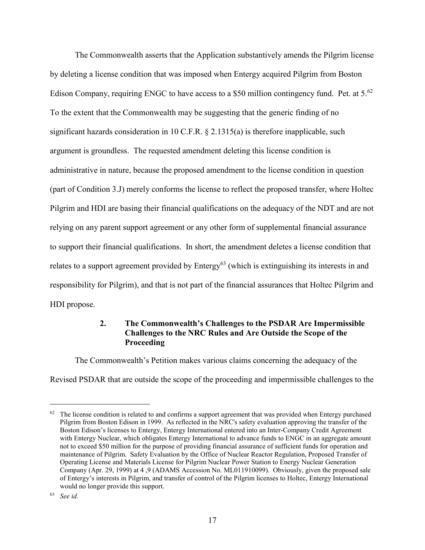The Commonwealth asserts that the Application substantively amends the Pilgrim license by deleting a license condition that was imposed when Entergy acquired Pilgrim from Boston Edison Company, requiring ENGC to have access to a \$50 million contingency fund. Pet. at  $5^{62}$ To the extent that the Commonwealth may be suggesting that the generic finding of no significant hazards consideration in 10 C.F.R. § 2.1315(a) is therefore inapplicable, such argument is groundless. The requested amendment deleting this license condition is administrative in nature, because the proposed amendment to the license condition in question (part of Condition 3.J) merely conforms the license to reflect the proposed transfer, where Holtec Pilgrim and HDI are basing their financial qualifications on the adequacy of the NDT and are not relying on any parent support agreement or any other form of supplemental financial assurance to support their financial qualifications. In short, the amendment deletes a license condition that relates to a support agreement provided by  $Entropy^{63}$  (which is extinguishing its interests in and responsibility for Pilgrim), and that is not part of the financial assurances that Holtec Pilgrim and HDI propose.

### **2. The Commonwealth's Challenges to the PSDAR Are Impermissible Challenges to the NRC Rules and Are Outside the Scope of the Proceeding**

The Commonwealth's Petition makes various claims concerning the adequacy of the Revised PSDAR that are outside the scope of the proceeding and impermissible challenges to the

 $62$  The license condition is related to and confirms a support agreement that was provided when Entergy purchased Pilgrim from Boston Edison in 1999. As reflected in the NRC's safety evaluation approving the transfer of the Boston Edison's licenses to Entergy, Entergy International entered into an Inter-Company Credit Agreement with Entergy Nuclear, which obligates Entergy International to advance funds to ENGC in an aggregate amount not to exceed \$50 million for the purpose of providing financial assurance of sufficient funds for operation and maintenance of Pilgrim. Safety Evaluation by the Office of Nuclear Reactor Regulation, Proposed Transfer of Operating License and Materials License for Pilgrim Nuclear Power Station to Energy Nuclear Generation Company (Apr. 29, 1999) at 4 ,9 (ADAMS Accession No. ML011910099). Obviously, given the proposed sale of Entergy's interests in Pilgrim, and transfer of control of the Pilgrim licenses to Holtec, Entergy International would no longer provide this support.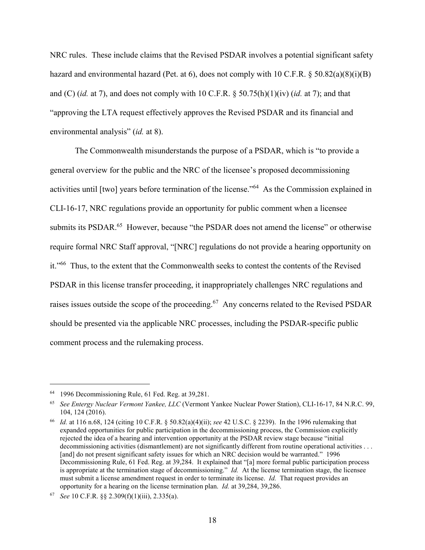NRC rules. These include claims that the Revised PSDAR involves a potential significant safety hazard and environmental hazard (Pet. at 6), does not comply with 10 C.F.R. § 50.82(a)(8)(i)(B) and (C) (*id.* at 7), and does not comply with 10 C.F.R. § 50.75(h)(1)(iv) (*id.* at 7); and that "approving the LTA request effectively approves the Revised PSDAR and its financial and environmental analysis" (*id.* at 8).

The Commonwealth misunderstands the purpose of a PSDAR, which is "to provide a general overview for the public and the NRC of the licensee's proposed decommissioning activities until [two] years before termination of the license."64 As the Commission explained in CLI-16-17, NRC regulations provide an opportunity for public comment when a licensee submits its PSDAR.<sup>65</sup> However, because "the PSDAR does not amend the license" or otherwise require formal NRC Staff approval, "[NRC] regulations do not provide a hearing opportunity on it."66 Thus, to the extent that the Commonwealth seeks to contest the contents of the Revised PSDAR in this license transfer proceeding, it inappropriately challenges NRC regulations and raises issues outside the scope of the proceeding.<sup>67</sup> Any concerns related to the Revised PSDAR should be presented via the applicable NRC processes, including the PSDAR-specific public comment process and the rulemaking process.

 <sup>64</sup> 1996 Decommissioning Rule, 61 Fed. Reg. at 39,281.

<sup>65</sup> *See Entergy Nuclear Vermont Yankee, LLC* (Vermont Yankee Nuclear Power Station), CLI-16-17, 84 N.R.C. 99, 104, 124 (2016).

<sup>66</sup> *Id.* at 116 n.68, 124 (citing 10 C.F.R. § 50.82(a)(4)(ii); *see* 42 U.S.C. § 2239). In the 1996 rulemaking that expanded opportunities for public participation in the decommissioning process, the Commission explicitly rejected the idea of a hearing and intervention opportunity at the PSDAR review stage because "initial decommissioning activities (dismantlement) are not significantly different from routine operational activities . . . [and] do not present significant safety issues for which an NRC decision would be warranted." 1996 Decommissioning Rule, 61 Fed. Reg. at 39,284. It explained that "[a] more formal public participation process is appropriate at the termination stage of decommissioning." *Id.* At the license termination stage, the licensee must submit a license amendment request in order to terminate its license. *Id.* That request provides an opportunity for a hearing on the license termination plan. *Id.* at 39,284, 39,286.

<sup>67</sup> *See* 10 C.F.R. §§ 2.309(f)(1)(iii), 2.335(a).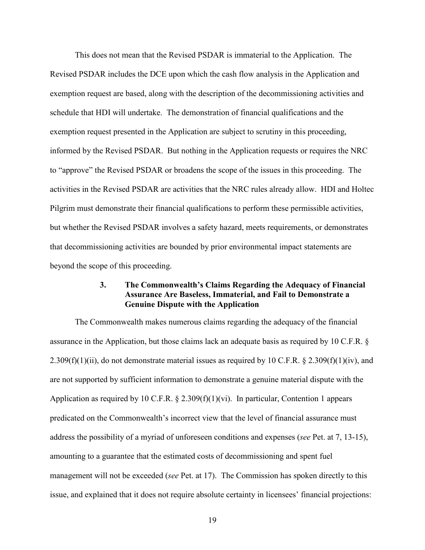This does not mean that the Revised PSDAR is immaterial to the Application. The Revised PSDAR includes the DCE upon which the cash flow analysis in the Application and exemption request are based, along with the description of the decommissioning activities and schedule that HDI will undertake. The demonstration of financial qualifications and the exemption request presented in the Application are subject to scrutiny in this proceeding, informed by the Revised PSDAR. But nothing in the Application requests or requires the NRC to "approve" the Revised PSDAR or broadens the scope of the issues in this proceeding. The activities in the Revised PSDAR are activities that the NRC rules already allow. HDI and Holtec Pilgrim must demonstrate their financial qualifications to perform these permissible activities, but whether the Revised PSDAR involves a safety hazard, meets requirements, or demonstrates that decommissioning activities are bounded by prior environmental impact statements are beyond the scope of this proceeding.

### **3. The Commonwealth's Claims Regarding the Adequacy of Financial Assurance Are Baseless, Immaterial, and Fail to Demonstrate a Genuine Dispute with the Application**

The Commonwealth makes numerous claims regarding the adequacy of the financial assurance in the Application, but those claims lack an adequate basis as required by 10 C.F.R. § 2.309(f)(1)(ii), do not demonstrate material issues as required by 10 C.F.R. § 2.309(f)(1)(iv), and are not supported by sufficient information to demonstrate a genuine material dispute with the Application as required by 10 C.F.R.  $\S$  2.309(f)(1)(vi). In particular, Contention 1 appears predicated on the Commonwealth's incorrect view that the level of financial assurance must address the possibility of a myriad of unforeseen conditions and expenses (*see* Pet. at 7, 13-15), amounting to a guarantee that the estimated costs of decommissioning and spent fuel management will not be exceeded (*see* Pet. at 17). The Commission has spoken directly to this issue, and explained that it does not require absolute certainty in licensees' financial projections: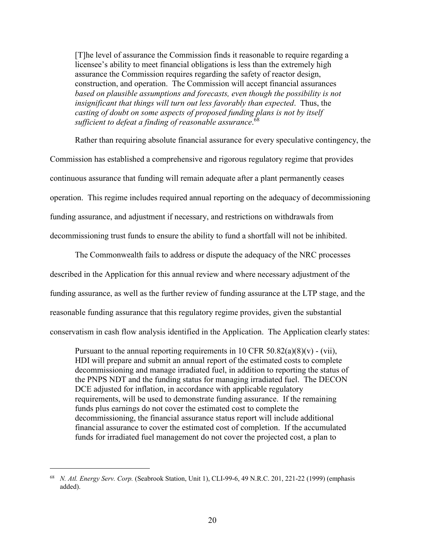[T]he level of assurance the Commission finds it reasonable to require regarding a licensee's ability to meet financial obligations is less than the extremely high assurance the Commission requires regarding the safety of reactor design, construction, and operation. The Commission will accept financial assurances *based on plausible assumptions and forecasts, even though the possibility is not insignificant that things will turn out less favorably than expected*. Thus, the *casting of doubt on some aspects of proposed funding plans is not by itself sufficient to defeat a finding of reasonable assurance*. 68

Rather than requiring absolute financial assurance for every speculative contingency, the Commission has established a comprehensive and rigorous regulatory regime that provides continuous assurance that funding will remain adequate after a plant permanently ceases operation. This regime includes required annual reporting on the adequacy of decommissioning funding assurance, and adjustment if necessary, and restrictions on withdrawals from decommissioning trust funds to ensure the ability to fund a shortfall will not be inhibited.

The Commonwealth fails to address or dispute the adequacy of the NRC processes described in the Application for this annual review and where necessary adjustment of the funding assurance, as well as the further review of funding assurance at the LTP stage, and the reasonable funding assurance that this regulatory regime provides, given the substantial conservatism in cash flow analysis identified in the Application. The Application clearly states:

Pursuant to the annual reporting requirements in 10 CFR  $50.82(a)(8)(v)$  - (vii), HDI will prepare and submit an annual report of the estimated costs to complete decommissioning and manage irradiated fuel, in addition to reporting the status of the PNPS NDT and the funding status for managing irradiated fuel. The DECON DCE adjusted for inflation, in accordance with applicable regulatory requirements, will be used to demonstrate funding assurance. If the remaining funds plus earnings do not cover the estimated cost to complete the decommissioning, the financial assurance status report will include additional financial assurance to cover the estimated cost of completion. If the accumulated funds for irradiated fuel management do not cover the projected cost, a plan to

 <sup>68</sup> *N. Atl. Energy Serv. Corp.* (Seabrook Station, Unit 1), CLI-99-6, 49 N.R.C. 201, 221-22 (1999) (emphasis added).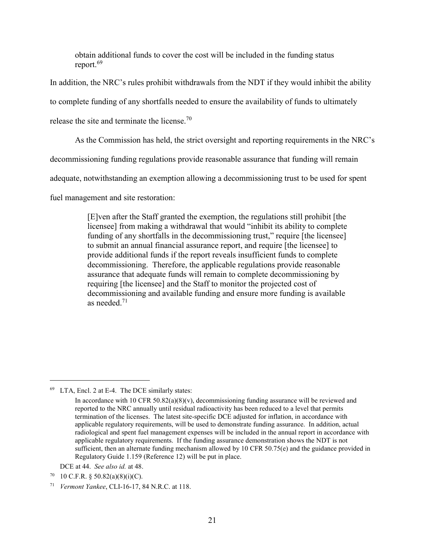obtain additional funds to cover the cost will be included in the funding status report.<sup>69</sup>

In addition, the NRC's rules prohibit withdrawals from the NDT if they would inhibit the ability

to complete funding of any shortfalls needed to ensure the availability of funds to ultimately

release the site and terminate the license.70

As the Commission has held, the strict oversight and reporting requirements in the NRC's

decommissioning funding regulations provide reasonable assurance that funding will remain

adequate, notwithstanding an exemption allowing a decommissioning trust to be used for spent

fuel management and site restoration:

[E]ven after the Staff granted the exemption, the regulations still prohibit [the licensee] from making a withdrawal that would "inhibit its ability to complete funding of any shortfalls in the decommissioning trust," require [the licensee] to submit an annual financial assurance report, and require [the licensee] to provide additional funds if the report reveals insufficient funds to complete decommissioning. Therefore, the applicable regulations provide reasonable assurance that adequate funds will remain to complete decommissioning by requiring [the licensee] and the Staff to monitor the projected cost of decommissioning and available funding and ensure more funding is available as needed. $71$ 

 <sup>69</sup> LTA, Encl. 2 at E-4. The DCE similarly states:

In accordance with 10 CFR  $50.82(a)(8)(v)$ , decommissioning funding assurance will be reviewed and reported to the NRC annually until residual radioactivity has been reduced to a level that permits termination of the licenses. The latest site-specific DCE adjusted for inflation, in accordance with applicable regulatory requirements, will be used to demonstrate funding assurance. In addition, actual radiological and spent fuel management expenses will be included in the annual report in accordance with applicable regulatory requirements. If the funding assurance demonstration shows the NDT is not sufficient, then an alternate funding mechanism allowed by 10 CFR 50.75(e) and the guidance provided in Regulatory Guide 1.159 (Reference 12) will be put in place.

DCE at 44. *See also id.* at 48.

 $70$  10 C.F.R. § 50.82(a)(8)(i)(C).

<sup>71</sup> *Vermont Yankee*, CLI-16-17, 84 N.R.C. at 118.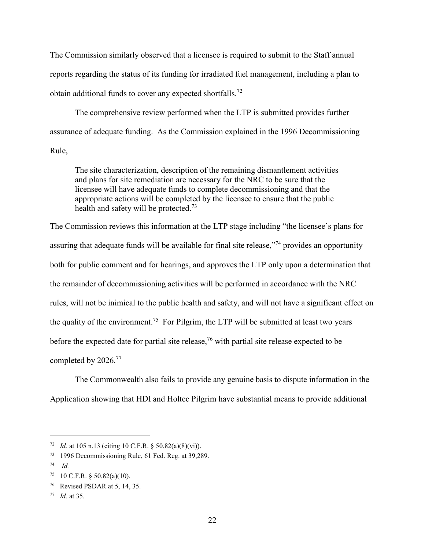The Commission similarly observed that a licensee is required to submit to the Staff annual reports regarding the status of its funding for irradiated fuel management, including a plan to obtain additional funds to cover any expected shortfalls.72

The comprehensive review performed when the LTP is submitted provides further assurance of adequate funding. As the Commission explained in the 1996 Decommissioning Rule,

The site characterization, description of the remaining dismantlement activities and plans for site remediation are necessary for the NRC to be sure that the licensee will have adequate funds to complete decommissioning and that the appropriate actions will be completed by the licensee to ensure that the public health and safety will be protected.<sup>73</sup>

The Commission reviews this information at the LTP stage including "the licensee's plans for assuring that adequate funds will be available for final site release,<sup>774</sup> provides an opportunity both for public comment and for hearings, and approves the LTP only upon a determination that the remainder of decommissioning activities will be performed in accordance with the NRC rules, will not be inimical to the public health and safety, and will not have a significant effect on the quality of the environment.<sup>75</sup> For Pilgrim, the LTP will be submitted at least two years before the expected date for partial site release,<sup>76</sup> with partial site release expected to be completed by 2026.<sup>77</sup>

The Commonwealth also fails to provide any genuine basis to dispute information in the Application showing that HDI and Holtec Pilgrim have substantial means to provide additional

 <sup>72</sup> *Id.* at 105 n.13 (citing 10 C.F.R. § 50.82(a)(8)(vi)).

<sup>73</sup> 1996 Decommissioning Rule, 61 Fed. Reg. at 39,289.

<sup>74</sup> *Id.*

<sup>75 10</sup> C.F.R. § 50.82(a)(10).

<sup>76</sup> Revised PSDAR at 5, 14, 35.

<sup>77</sup> *Id.* at 35.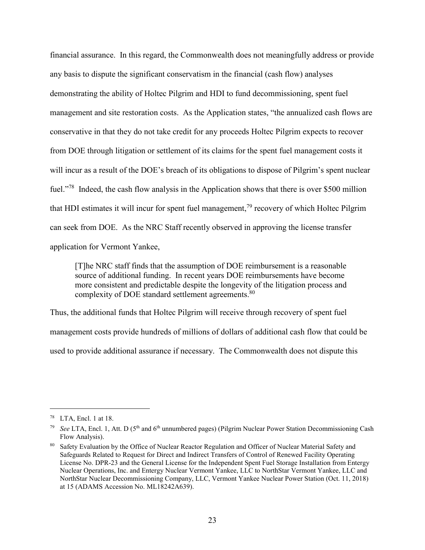financial assurance. In this regard, the Commonwealth does not meaningfully address or provide any basis to dispute the significant conservatism in the financial (cash flow) analyses demonstrating the ability of Holtec Pilgrim and HDI to fund decommissioning, spent fuel management and site restoration costs. As the Application states, "the annualized cash flows are conservative in that they do not take credit for any proceeds Holtec Pilgrim expects to recover from DOE through litigation or settlement of its claims for the spent fuel management costs it will incur as a result of the DOE's breach of its obligations to dispose of Pilgrim's spent nuclear fuel."78 Indeed, the cash flow analysis in the Application shows that there is over \$500 million that HDI estimates it will incur for spent fuel management,<sup>79</sup> recovery of which Holtec Pilgrim can seek from DOE. As the NRC Staff recently observed in approving the license transfer application for Vermont Yankee,

[T]he NRC staff finds that the assumption of DOE reimbursement is a reasonable source of additional funding. In recent years DOE reimbursements have become more consistent and predictable despite the longevity of the litigation process and complexity of DOE standard settlement agreements.<sup>80</sup>

Thus, the additional funds that Holtec Pilgrim will receive through recovery of spent fuel management costs provide hundreds of millions of dollars of additional cash flow that could be used to provide additional assurance if necessary. The Commonwealth does not dispute this

 <sup>78</sup> LTA, Encl. 1 at 18.

<sup>79</sup> *See* LTA, Encl. 1, Att. D (5th and 6th unnumbered pages) (Pilgrim Nuclear Power Station Decommissioning Cash Flow Analysis).

Safety Evaluation by the Office of Nuclear Reactor Regulation and Officer of Nuclear Material Safety and Safeguards Related to Request for Direct and Indirect Transfers of Control of Renewed Facility Operating License No. DPR-23 and the General License for the Independent Spent Fuel Storage Installation from Entergy Nuclear Operations, Inc. and Entergy Nuclear Vermont Yankee, LLC to NorthStar Vermont Yankee, LLC and NorthStar Nuclear Decommissioning Company, LLC, Vermont Yankee Nuclear Power Station (Oct. 11, 2018) at 15 (ADAMS Accession No. ML18242A639).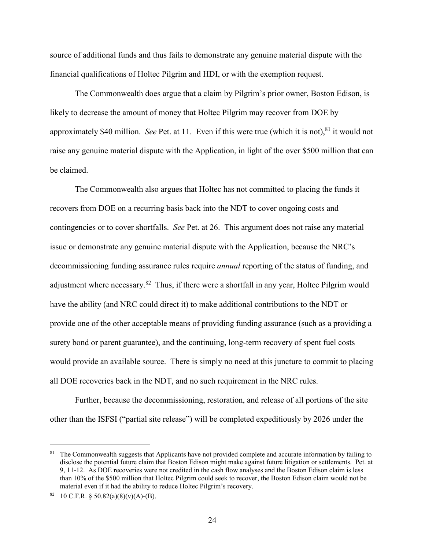source of additional funds and thus fails to demonstrate any genuine material dispute with the financial qualifications of Holtec Pilgrim and HDI, or with the exemption request.

The Commonwealth does argue that a claim by Pilgrim's prior owner, Boston Edison, is likely to decrease the amount of money that Holtec Pilgrim may recover from DOE by approximately \$40 million. *See* Pet. at 11. Even if this were true (which it is not),  $81$  it would not raise any genuine material dispute with the Application, in light of the over \$500 million that can be claimed.

The Commonwealth also argues that Holtec has not committed to placing the funds it recovers from DOE on a recurring basis back into the NDT to cover ongoing costs and contingencies or to cover shortfalls. *See* Pet. at 26. This argument does not raise any material issue or demonstrate any genuine material dispute with the Application, because the NRC's decommissioning funding assurance rules require *annual* reporting of the status of funding, and adjustment where necessary.<sup>82</sup> Thus, if there were a shortfall in any year, Holtec Pilgrim would have the ability (and NRC could direct it) to make additional contributions to the NDT or provide one of the other acceptable means of providing funding assurance (such as a providing a surety bond or parent guarantee), and the continuing, long-term recovery of spent fuel costs would provide an available source. There is simply no need at this juncture to commit to placing all DOE recoveries back in the NDT, and no such requirement in the NRC rules.

Further, because the decommissioning, restoration, and release of all portions of the site other than the ISFSI ("partial site release") will be completed expeditiously by 2026 under the

<sup>&</sup>lt;sup>81</sup> The Commonwealth suggests that Applicants have not provided complete and accurate information by failing to disclose the potential future claim that Boston Edison might make against future litigation or settlements. Pet. at 9, 11-12. As DOE recoveries were not credited in the cash flow analyses and the Boston Edison claim is less than 10% of the \$500 million that Holtec Pilgrim could seek to recover, the Boston Edison claim would not be material even if it had the ability to reduce Holtec Pilgrim's recovery.

<sup>82 10</sup> C.F.R. §  $50.82(a)(8)(v)(A) - (B)$ .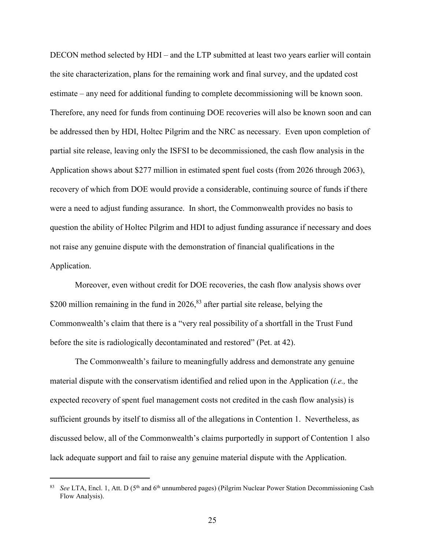DECON method selected by HDI – and the LTP submitted at least two years earlier will contain the site characterization, plans for the remaining work and final survey, and the updated cost estimate – any need for additional funding to complete decommissioning will be known soon. Therefore, any need for funds from continuing DOE recoveries will also be known soon and can be addressed then by HDI, Holtec Pilgrim and the NRC as necessary. Even upon completion of partial site release, leaving only the ISFSI to be decommissioned, the cash flow analysis in the Application shows about \$277 million in estimated spent fuel costs (from 2026 through 2063), recovery of which from DOE would provide a considerable, continuing source of funds if there were a need to adjust funding assurance. In short, the Commonwealth provides no basis to question the ability of Holtec Pilgrim and HDI to adjust funding assurance if necessary and does not raise any genuine dispute with the demonstration of financial qualifications in the Application.

Moreover, even without credit for DOE recoveries, the cash flow analysis shows over \$200 million remaining in the fund in  $2026$ ,  $83$  after partial site release, belying the Commonwealth's claim that there is a "very real possibility of a shortfall in the Trust Fund before the site is radiologically decontaminated and restored" (Pet. at 42).

The Commonwealth's failure to meaningfully address and demonstrate any genuine material dispute with the conservatism identified and relied upon in the Application (*i.e.,* the expected recovery of spent fuel management costs not credited in the cash flow analysis) is sufficient grounds by itself to dismiss all of the allegations in Contention 1. Nevertheless, as discussed below, all of the Commonwealth's claims purportedly in support of Contention 1 also lack adequate support and fail to raise any genuine material dispute with the Application.

See LTA, Encl. 1, Att. D (5<sup>th</sup> and 6<sup>th</sup> unnumbered pages) (Pilgrim Nuclear Power Station Decommissioning Cash Flow Analysis).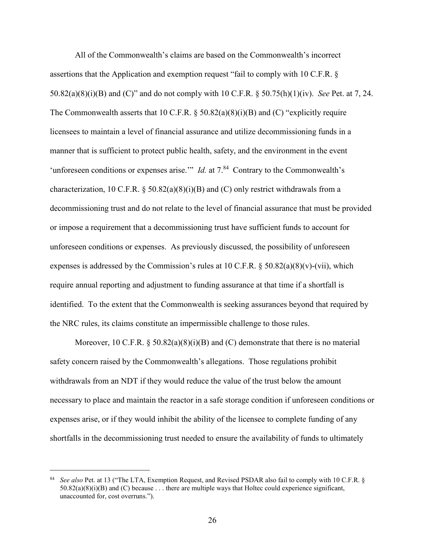All of the Commonwealth's claims are based on the Commonwealth's incorrect assertions that the Application and exemption request "fail to comply with 10 C.F.R. § 50.82(a)(8)(i)(B) and (C)" and do not comply with 10 C.F.R. § 50.75(h)(1)(iv). *See* Pet. at 7, 24. The Commonwealth asserts that 10 C.F.R.  $\S$  50.82(a)(8)(i)(B) and (C) "explicitly require licensees to maintain a level of financial assurance and utilize decommissioning funds in a manner that is sufficient to protect public health, safety, and the environment in the event 'unforeseen conditions or expenses arise.'" *Id.* at  $7<sup>84</sup>$  Contrary to the Commonwealth's characterization, 10 C.F.R. § 50.82(a)(8)(i)(B) and (C) only restrict withdrawals from a decommissioning trust and do not relate to the level of financial assurance that must be provided or impose a requirement that a decommissioning trust have sufficient funds to account for unforeseen conditions or expenses. As previously discussed, the possibility of unforeseen expenses is addressed by the Commission's rules at 10 C.F.R.  $\S$  50.82(a)(8)(v)-(vii), which require annual reporting and adjustment to funding assurance at that time if a shortfall is identified. To the extent that the Commonwealth is seeking assurances beyond that required by the NRC rules, its claims constitute an impermissible challenge to those rules.

Moreover, 10 C.F.R.  $\S 50.82(a)(8)(i)(B)$  and (C) demonstrate that there is no material safety concern raised by the Commonwealth's allegations. Those regulations prohibit withdrawals from an NDT if they would reduce the value of the trust below the amount necessary to place and maintain the reactor in a safe storage condition if unforeseen conditions or expenses arise, or if they would inhibit the ability of the licensee to complete funding of any shortfalls in the decommissioning trust needed to ensure the availability of funds to ultimately

 <sup>84</sup> *See also* Pet. at 13 ("The LTA, Exemption Request, and Revised PSDAR also fail to comply with 10 C.F.R. §  $50.82(a)(8)(i)(B)$  and (C) because . . . there are multiple ways that Holtec could experience significant, unaccounted for, cost overruns.").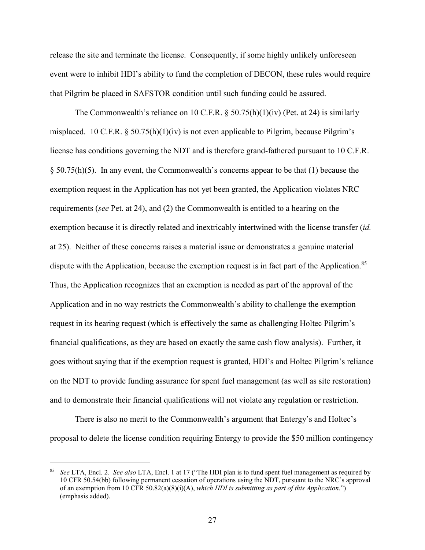release the site and terminate the license. Consequently, if some highly unlikely unforeseen event were to inhibit HDI's ability to fund the completion of DECON, these rules would require that Pilgrim be placed in SAFSTOR condition until such funding could be assured.

The Commonwealth's reliance on 10 C.F.R.  $\S$  50.75(h)(1)(iv) (Pet. at 24) is similarly misplaced. 10 C.F.R.  $\S 50.75(h)(1)(iv)$  is not even applicable to Pilgrim, because Pilgrim's license has conditions governing the NDT and is therefore grand-fathered pursuant to 10 C.F.R. § 50.75(h)(5). In any event, the Commonwealth's concerns appear to be that (1) because the exemption request in the Application has not yet been granted, the Application violates NRC requirements (*see* Pet. at 24), and (2) the Commonwealth is entitled to a hearing on the exemption because it is directly related and inextricably intertwined with the license transfer (*id.* at 25). Neither of these concerns raises a material issue or demonstrates a genuine material dispute with the Application, because the exemption request is in fact part of the Application.<sup>85</sup> Thus, the Application recognizes that an exemption is needed as part of the approval of the Application and in no way restricts the Commonwealth's ability to challenge the exemption request in its hearing request (which is effectively the same as challenging Holtec Pilgrim's financial qualifications, as they are based on exactly the same cash flow analysis). Further, it goes without saying that if the exemption request is granted, HDI's and Holtec Pilgrim's reliance on the NDT to provide funding assurance for spent fuel management (as well as site restoration) and to demonstrate their financial qualifications will not violate any regulation or restriction.

There is also no merit to the Commonwealth's argument that Entergy's and Holtec's proposal to delete the license condition requiring Entergy to provide the \$50 million contingency

 <sup>85</sup> *See* LTA, Encl. 2. *See also* LTA, Encl. 1 at 17 ("The HDI plan is to fund spent fuel management as required by 10 CFR 50.54(bb) following permanent cessation of operations using the NDT, pursuant to the NRC's approval of an exemption from 10 CFR 50.82(a)(8)(i)(A), *which HDI is submitting as part of this Application.*") (emphasis added).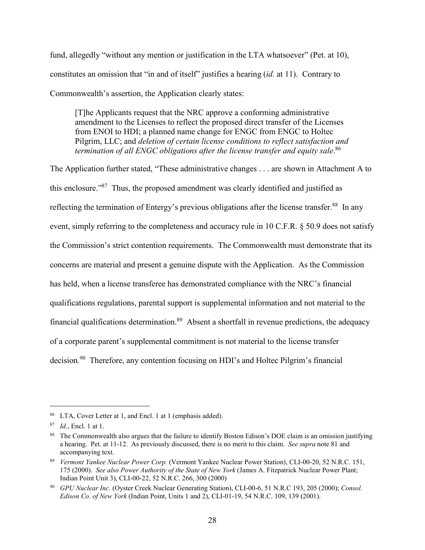fund, allegedly "without any mention or justification in the LTA whatsoever" (Pet. at 10), constitutes an omission that "in and of itself" justifies a hearing (*id.* at 11). Contrary to Commonwealth's assertion, the Application clearly states:

[T]he Applicants request that the NRC approve a conforming administrative amendment to the Licenses to reflect the proposed direct transfer of the Licenses from ENOI to HDI; a planned name change for ENGC from ENGC to Holtec Pilgrim, LLC; and *deletion of certain license conditions to reflect satisfaction and termination of all ENGC obligations after the license transfer and equity sale*. 86

The Application further stated, "These administrative changes . . . are shown in Attachment A to this enclosure."87 Thus, the proposed amendment was clearly identified and justified as reflecting the termination of Entergy's previous obligations after the license transfer.<sup>88</sup> In any event, simply referring to the completeness and accuracy rule in 10 C.F.R. § 50.9 does not satisfy the Commission's strict contention requirements. The Commonwealth must demonstrate that its concerns are material and present a genuine dispute with the Application. As the Commission has held, when a license transferee has demonstrated compliance with the NRC's financial qualifications regulations, parental support is supplemental information and not material to the financial qualifications determination.89 Absent a shortfall in revenue predictions, the adequacy of a corporate parent's supplemental commitment is not material to the license transfer decision*.* <sup>90</sup> Therefore, any contention focusing on HDI's and Holtec Pilgrim's financial

 <sup>86</sup> LTA, Cover Letter at 1, and Encl. 1 at 1 (emphasis added).

<sup>87</sup> *Id.*, Encl. 1 at 1.

<sup>&</sup>lt;sup>88</sup> The Commonwealth also argues that the failure to identify Boston Edison's DOE claim is an omission justifying a hearing. Pet. at 11-12. As previously discussed, there is no merit to this claim. *See supra* note 81 and accompanying text.

<sup>89</sup> *Vermont Yankee Nuclear Power Corp.* (Vermont Yankee Nuclear Power Station), CLI-00-20, 52 N.R.C. 151, 175 (2000). *See also Power Authority of the State of New York* (James A. Fitzpatrick Nuclear Power Plant; Indian Point Unit 3), CLI-00-22, 52 N.R.C. 266, 300 (2000)

<sup>90</sup> *GPU Nuclear Inc.* (Oyster Creek Nuclear Generating Station), CLI-00-6, 51 N.R.C 193, 205 (2000); *Consol. Edison Co. of New York* (Indian Point, Units 1 and 2), CLI-01-19, 54 N.R.C. 109, 139 (2001).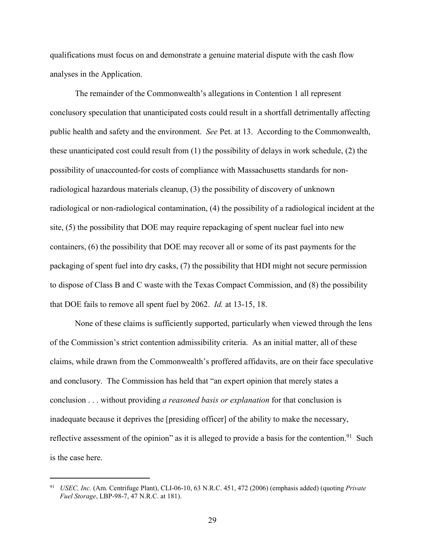qualifications must focus on and demonstrate a genuine material dispute with the cash flow analyses in the Application.

The remainder of the Commonwealth's allegations in Contention 1 all represent conclusory speculation that unanticipated costs could result in a shortfall detrimentally affecting public health and safety and the environment. *See* Pet. at 13. According to the Commonwealth, these unanticipated cost could result from (1) the possibility of delays in work schedule, (2) the possibility of unaccounted-for costs of compliance with Massachusetts standards for nonradiological hazardous materials cleanup, (3) the possibility of discovery of unknown radiological or non-radiological contamination, (4) the possibility of a radiological incident at the site, (5) the possibility that DOE may require repackaging of spent nuclear fuel into new containers, (6) the possibility that DOE may recover all or some of its past payments for the packaging of spent fuel into dry casks, (7) the possibility that HDI might not secure permission to dispose of Class B and C waste with the Texas Compact Commission, and (8) the possibility that DOE fails to remove all spent fuel by 2062. *Id.* at 13-15, 18.

None of these claims is sufficiently supported, particularly when viewed through the lens of the Commission's strict contention admissibility criteria. As an initial matter, all of these claims, while drawn from the Commonwealth's proffered affidavits, are on their face speculative and conclusory. The Commission has held that "an expert opinion that merely states a conclusion . . . without providing *a reasoned basis or explanation* for that conclusion is inadequate because it deprives the [presiding officer] of the ability to make the necessary, reflective assessment of the opinion" as it is alleged to provide a basis for the contention.<sup>91</sup> Such is the case here.

 <sup>91</sup> *USEC, Inc.* (Am. Centrifuge Plant), CLI-06-10, 63 N.R.C. 451, 472 (2006) (emphasis added) (quoting *Private Fuel Storage*, LBP-98-7, 47 N.R.C. at 181).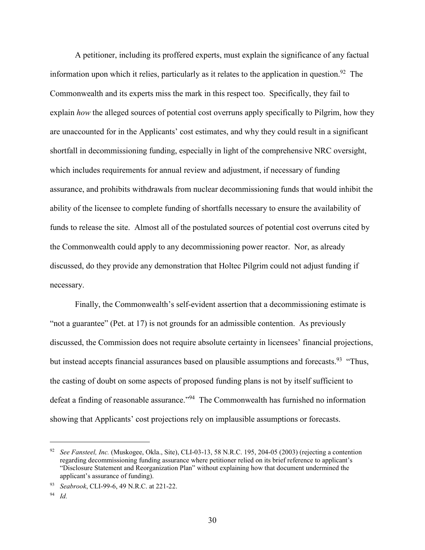A petitioner, including its proffered experts, must explain the significance of any factual information upon which it relies, particularly as it relates to the application in question.<sup>92</sup> The Commonwealth and its experts miss the mark in this respect too. Specifically, they fail to explain *how* the alleged sources of potential cost overruns apply specifically to Pilgrim, how they are unaccounted for in the Applicants' cost estimates, and why they could result in a significant shortfall in decommissioning funding, especially in light of the comprehensive NRC oversight, which includes requirements for annual review and adjustment, if necessary of funding assurance, and prohibits withdrawals from nuclear decommissioning funds that would inhibit the ability of the licensee to complete funding of shortfalls necessary to ensure the availability of funds to release the site. Almost all of the postulated sources of potential cost overruns cited by the Commonwealth could apply to any decommissioning power reactor. Nor, as already discussed, do they provide any demonstration that Holtec Pilgrim could not adjust funding if necessary.

Finally, the Commonwealth's self-evident assertion that a decommissioning estimate is "not a guarantee" (Pet. at 17) is not grounds for an admissible contention. As previously discussed, the Commission does not require absolute certainty in licensees' financial projections, but instead accepts financial assurances based on plausible assumptions and forecasts.<sup>93</sup> "Thus, the casting of doubt on some aspects of proposed funding plans is not by itself sufficient to defeat a finding of reasonable assurance."<sup>94</sup> The Commonwealth has furnished no information showing that Applicants' cost projections rely on implausible assumptions or forecasts.

 <sup>92</sup> *See Fansteel, Inc.* (Muskogee, Okla., Site), CLI-03-13, 58 N.R.C. 195, 204-05 (2003) (rejecting a contention regarding decommissioning funding assurance where petitioner relied on its brief reference to applicant's "Disclosure Statement and Reorganization Plan" without explaining how that document undermined the applicant's assurance of funding).

<sup>93</sup> *Seabrook*, CLI-99-6, 49 N.R.C. at 221-22.

<sup>94</sup> *Id.*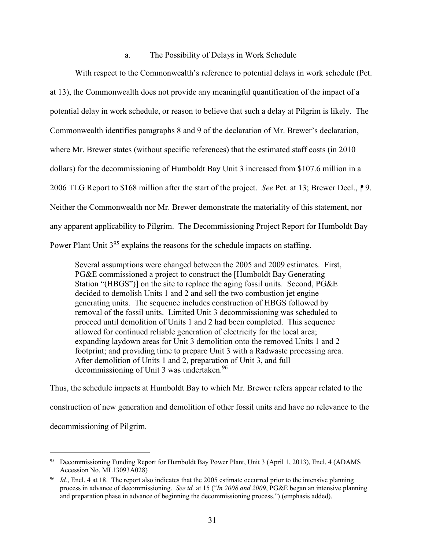#### a. The Possibility of Delays in Work Schedule

With respect to the Commonwealth's reference to potential delays in work schedule (Pet. at 13), the Commonwealth does not provide any meaningful quantification of the impact of a potential delay in work schedule, or reason to believe that such a delay at Pilgrim is likely. The Commonwealth identifies paragraphs 8 and 9 of the declaration of Mr. Brewer's declaration, where Mr. Brewer states (without specific references) that the estimated staff costs (in 2010 dollars) for the decommissioning of Humboldt Bay Unit 3 increased from \$107.6 million in a 2006 TLG Report to \$168 million after the start of the project. *See* Pet. at 13; Brewer Decl., <sup>1</sup>9. Neither the Commonwealth nor Mr. Brewer demonstrate the materiality of this statement, nor any apparent applicability to Pilgrim. The Decommissioning Project Report for Humboldt Bay Power Plant Unit 3<sup>95</sup> explains the reasons for the schedule impacts on staffing.

Several assumptions were changed between the 2005 and 2009 estimates. First, PG&E commissioned a project to construct the [Humboldt Bay Generating Station "(HBGS")] on the site to replace the aging fossil units. Second, PG&E decided to demolish Units 1 and 2 and sell the two combustion jet engine generating units. The sequence includes construction of HBGS followed by removal of the fossil units. Limited Unit 3 decommissioning was scheduled to proceed until demolition of Units 1 and 2 had been completed. This sequence allowed for continued reliable generation of electricity for the local area; expanding laydown areas for Unit 3 demolition onto the removed Units 1 and 2 footprint; and providing time to prepare Unit 3 with a Radwaste processing area. After demolition of Units 1 and 2, preparation of Unit 3, and full decommissioning of Unit 3 was undertaken.<sup>96</sup>

Thus, the schedule impacts at Humboldt Bay to which Mr. Brewer refers appear related to the construction of new generation and demolition of other fossil units and have no relevance to the decommissioning of Pilgrim.

 <sup>95</sup> Decommissioning Funding Report for Humboldt Bay Power Plant, Unit 3 (April 1, 2013), Encl. 4 (ADAMS Accession No. ML13093A028)

<sup>96</sup> *Id.*, Encl. 4 at 18. The report also indicates that the 2005 estimate occurred prior to the intensive planning process in advance of decommissioning. *See id.* at 15 ("*In 2008 and 2009*, PG&E began an intensive planning and preparation phase in advance of beginning the decommissioning process.") (emphasis added).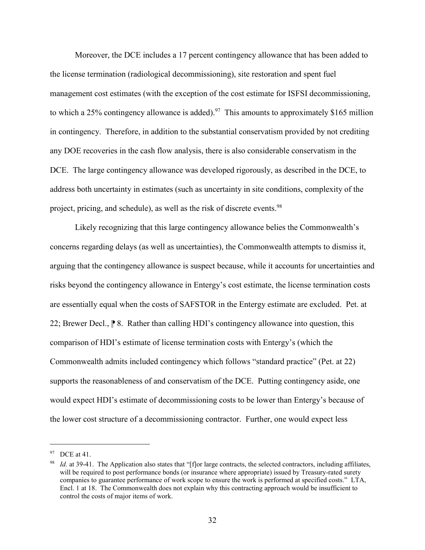Moreover, the DCE includes a 17 percent contingency allowance that has been added to the license termination (radiological decommissioning), site restoration and spent fuel management cost estimates (with the exception of the cost estimate for ISFSI decommissioning, to which a 25% contingency allowance is added).<sup>97</sup> This amounts to approximately \$165 million in contingency. Therefore, in addition to the substantial conservatism provided by not crediting any DOE recoveries in the cash flow analysis, there is also considerable conservatism in the DCE. The large contingency allowance was developed rigorously, as described in the DCE, to address both uncertainty in estimates (such as uncertainty in site conditions, complexity of the project, pricing, and schedule), as well as the risk of discrete events.<sup>98</sup>

Likely recognizing that this large contingency allowance belies the Commonwealth's concerns regarding delays (as well as uncertainties), the Commonwealth attempts to dismiss it, arguing that the contingency allowance is suspect because, while it accounts for uncertainties and risks beyond the contingency allowance in Entergy's cost estimate, the license termination costs are essentially equal when the costs of SAFSTOR in the Entergy estimate are excluded. Pet. at 22; Brewer Decl.,  $\mathbb P$  8. Rather than calling HDI's contingency allowance into question, this comparison of HDI's estimate of license termination costs with Entergy's (which the Commonwealth admits included contingency which follows "standard practice" (Pet. at 22) supports the reasonableness of and conservatism of the DCE. Putting contingency aside, one would expect HDI's estimate of decommissioning costs to be lower than Entergy's because of the lower cost structure of a decommissioning contractor. Further, one would expect less

<sup>97</sup> DCE at 41.

*Id.* at 39-41. The Application also states that "[f]or large contracts, the selected contractors, including affiliates, will be required to post performance bonds (or insurance where appropriate) issued by Treasury-rated surety companies to guarantee performance of work scope to ensure the work is performed at specified costs." LTA, Encl. 1 at 18. The Commonwealth does not explain why this contracting approach would be insufficient to control the costs of major items of work.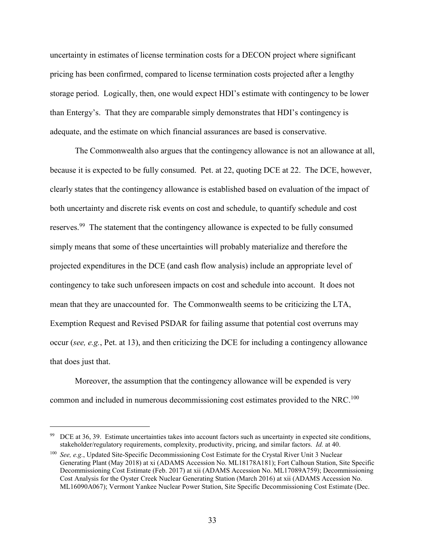uncertainty in estimates of license termination costs for a DECON project where significant pricing has been confirmed, compared to license termination costs projected after a lengthy storage period. Logically, then, one would expect HDI's estimate with contingency to be lower than Entergy's. That they are comparable simply demonstrates that HDI's contingency is adequate, and the estimate on which financial assurances are based is conservative.

The Commonwealth also argues that the contingency allowance is not an allowance at all, because it is expected to be fully consumed. Pet. at 22, quoting DCE at 22. The DCE, however, clearly states that the contingency allowance is established based on evaluation of the impact of both uncertainty and discrete risk events on cost and schedule, to quantify schedule and cost reserves.<sup>99</sup> The statement that the contingency allowance is expected to be fully consumed simply means that some of these uncertainties will probably materialize and therefore the projected expenditures in the DCE (and cash flow analysis) include an appropriate level of contingency to take such unforeseen impacts on cost and schedule into account. It does not mean that they are unaccounted for. The Commonwealth seems to be criticizing the LTA, Exemption Request and Revised PSDAR for failing assume that potential cost overruns may occur (*see, e.g.*, Pet. at 13), and then criticizing the DCE for including a contingency allowance that does just that.

Moreover, the assumption that the contingency allowance will be expended is very common and included in numerous decommissioning cost estimates provided to the NRC.<sup>100</sup>

<sup>&</sup>lt;sup>99</sup> DCE at 36, 39. Estimate uncertainties takes into account factors such as uncertainty in expected site conditions, stakeholder/regulatory requirements, complexity, productivity, pricing, and similar factors. *Id.* at 40.

<sup>100</sup> *See, e.g.*, Updated Site-Specific Decommissioning Cost Estimate for the Crystal River Unit 3 Nuclear Generating Plant (May 2018) at xi (ADAMS Accession No. ML18178A181); Fort Calhoun Station, Site Specific Decommissioning Cost Estimate (Feb. 2017) at xii (ADAMS Accession No. ML17089A759); Decommissioning Cost Analysis for the Oyster Creek Nuclear Generating Station (March 2016) at xii (ADAMS Accession No. ML16090A067); Vermont Yankee Nuclear Power Station, Site Specific Decommissioning Cost Estimate (Dec.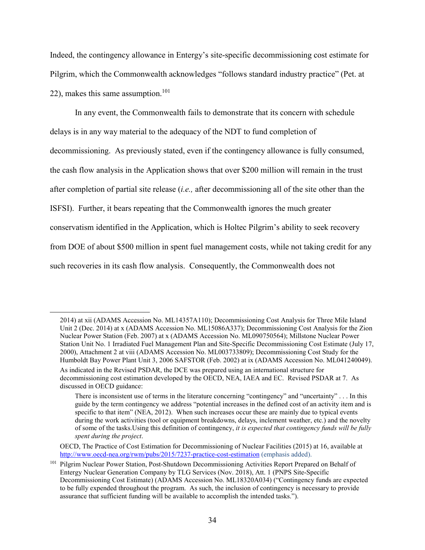Indeed, the contingency allowance in Entergy's site-specific decommissioning cost estimate for Pilgrim, which the Commonwealth acknowledges "follows standard industry practice" (Pet. at 22), makes this same assumption.<sup>101</sup>

In any event, the Commonwealth fails to demonstrate that its concern with schedule delays is in any way material to the adequacy of the NDT to fund completion of decommissioning. As previously stated, even if the contingency allowance is fully consumed, the cash flow analysis in the Application shows that over \$200 million will remain in the trust after completion of partial site release (*i.e.,* after decommissioning all of the site other than the ISFSI). Further, it bears repeating that the Commonwealth ignores the much greater conservatism identified in the Application, which is Holtec Pilgrim's ability to seek recovery from DOE of about \$500 million in spent fuel management costs, while not taking credit for any such recoveries in its cash flow analysis. Consequently, the Commonwealth does not

 <sup>2014)</sup> at xii (ADAMS Accession No. ML14357A110); Decommissioning Cost Analysis for Three Mile Island Unit 2 (Dec. 2014) at x (ADAMS Accession No. ML15086A337); Decommissioning Cost Analysis for the Zion Nuclear Power Station (Feb. 2007) at x (ADAMS Accession No. ML090750564); Millstone Nuclear Power Station Unit No. 1 Irradiated Fuel Management Plan and Site-Specific Decommissioning Cost Estimate (July 17, 2000), Attachment 2 at viii (ADAMS Accession No. ML003733809); Decommissioning Cost Study for the Humboldt Bay Power Plant Unit 3, 2006 SAFSTOR (Feb. 2002) at ix (ADAMS Accession No. ML041240049). As indicated in the Revised PSDAR, the DCE was prepared using an international structure for decommissioning cost estimation developed by the OECD, NEA, IAEA and EC. Revised PSDAR at 7. As discussed in OECD guidance:

There is inconsistent use of terms in the literature concerning "contingency" and "uncertainty" . . . In this guide by the term contingency we address "potential increases in the defined cost of an activity item and is specific to that item" (NEA, 2012). When such increases occur these are mainly due to typical events during the work activities (tool or equipment breakdowns, delays, inclement weather, etc.) and the novelty of some of the tasks.Using this definition of contingency, *it is expected that contingency funds will be fully spent during the project*.

OECD, The Practice of Cost Estimation for Decommissioning of Nuclear Facilities (2015) at 16, available at http://www.oecd-nea.org/rwm/pubs/2015/7237-practice-cost-estimation (emphasis added).

<sup>&</sup>lt;sup>101</sup> Pilgrim Nuclear Power Station, Post-Shutdown Decommissioning Activities Report Prepared on Behalf of Entergy Nuclear Generation Company by TLG Services (Nov. 2018), Att. 1 (PNPS Site-Specific Decommissioning Cost Estimate) (ADAMS Accession No. ML18320A034) ("Contingency funds are expected to be fully expended throughout the program. As such, the inclusion of contingency is necessary to provide assurance that sufficient funding will be available to accomplish the intended tasks.").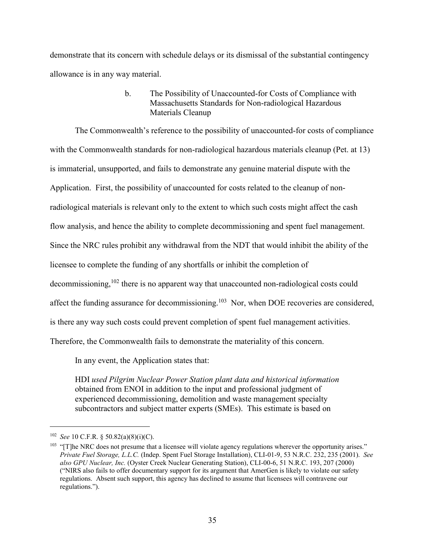demonstrate that its concern with schedule delays or its dismissal of the substantial contingency allowance is in any way material.

> b. The Possibility of Unaccounted-for Costs of Compliance with Massachusetts Standards for Non-radiological Hazardous Materials Cleanup

The Commonwealth's reference to the possibility of unaccounted-for costs of compliance with the Commonwealth standards for non-radiological hazardous materials cleanup (Pet. at 13) is immaterial, unsupported, and fails to demonstrate any genuine material dispute with the Application. First, the possibility of unaccounted for costs related to the cleanup of nonradiological materials is relevant only to the extent to which such costs might affect the cash flow analysis, and hence the ability to complete decommissioning and spent fuel management. Since the NRC rules prohibit any withdrawal from the NDT that would inhibit the ability of the licensee to complete the funding of any shortfalls or inhibit the completion of decommissioning,<sup>102</sup> there is no apparent way that unaccounted non-radiological costs could affect the funding assurance for decommissioning.<sup>103</sup> Nor, when DOE recoveries are considered, is there any way such costs could prevent completion of spent fuel management activities. Therefore, the Commonwealth fails to demonstrate the materiality of this concern.

In any event, the Application states that:

HDI *used Pilgrim Nuclear Power Station plant data and historical information* obtained from ENOI in addition to the input and professional judgment of experienced decommissioning, demolition and waste management specialty subcontractors and subject matter experts (SMEs). This estimate is based on

 <sup>102</sup> *See* 10 C.F.R. § 50.82(a)(8)(i)(C).

<sup>&</sup>lt;sup>103</sup> "[T]he NRC does not presume that a licensee will violate agency regulations wherever the opportunity arises." *Private Fuel Storage, L.L.C.* (Indep. Spent Fuel Storage Installation), CLI-01-9, 53 N.R.C. 232, 235 (2001). *See also GPU Nuclear, Inc.* (Oyster Creek Nuclear Generating Station), CLI-00-6, 51 N.R.C. 193, 207 (2000) ("NIRS also fails to offer documentary support for its argument that AmerGen is likely to violate our safety regulations. Absent such support, this agency has declined to assume that licensees will contravene our regulations.").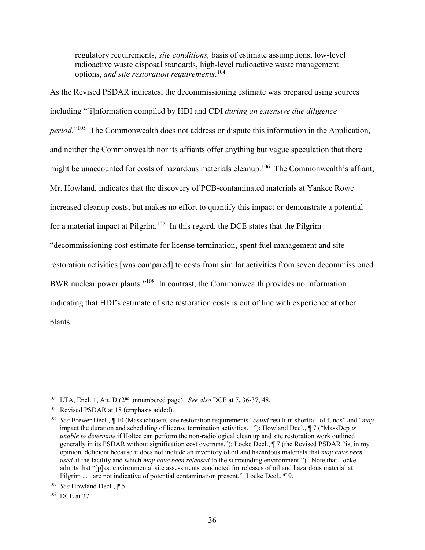regulatory requirements, *site conditions,* basis of estimate assumptions, low-level radioactive waste disposal standards, high-level radioactive waste management options, *and site restoration requirements*. 104

As the Revised PSDAR indicates, the decommissioning estimate was prepared using sources including "[i]nformation compiled by HDI and CDI *during an extensive due diligence period*."105 The Commonwealth does not address or dispute this information in the Application, and neither the Commonwealth nor its affiants offer anything but vague speculation that there might be unaccounted for costs of hazardous materials cleanup.<sup>106</sup> The Commonwealth's affiant, Mr. Howland, indicates that the discovery of PCB-contaminated materials at Yankee Rowe increased cleanup costs, but makes no effort to quantify this impact or demonstrate a potential for a material impact at Pilgrim.<sup>107</sup> In this regard, the DCE states that the Pilgrim "decommissioning cost estimate for license termination, spent fuel management and site restoration activities [was compared] to costs from similar activities from seven decommissioned BWR nuclear power plants."108 In contrast, the Commonwealth provides no information indicating that HDI's estimate of site restoration costs is out of line with experience at other plants.

 <sup>104</sup> LTA, Encl. 1, Att. D (2nd unnumbered page). *See also* DCE at 7, 36-37, 48.

<sup>&</sup>lt;sup>105</sup> Revised PSDAR at 18 (emphasis added).

<sup>106</sup> *See* Brewer Decl., ¶ 10 (Massachusetts site restoration requirements "*could* result in shortfall of funds" and "*may* impact the duration and scheduling of license termination activities…"); Howland Decl., ¶ 7 ("MassDep *is unable to determine* if Holtec can perform the non-radiological clean up and site restoration work outlined generally in its PSDAR without signification cost overruns."); Locke Decl., ¶ 7 (the Revised PSDAR "is, in my opinion, deficient because it does not include an inventory of oil and hazardous materials that *may have been used* at the facility and which *may have been released* to the surrounding environment."). Note that Locke admits that "[p]ast environmental site assessments conducted for releases of oil and hazardous material at Pilgrim . . . are not indicative of potential contamination present." Locke Decl., 19.

<sup>&</sup>lt;sup>107</sup> *See* Howland Decl.,  $\uparrow$  5.

<sup>108</sup> DCE at 37.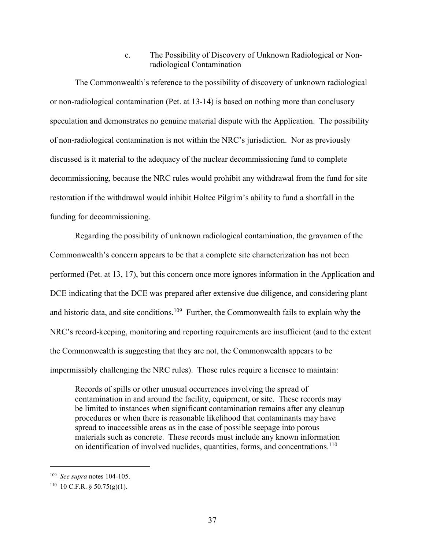c. The Possibility of Discovery of Unknown Radiological or Nonradiological Contamination

The Commonwealth's reference to the possibility of discovery of unknown radiological or non-radiological contamination (Pet. at 13-14) is based on nothing more than conclusory speculation and demonstrates no genuine material dispute with the Application. The possibility of non-radiological contamination is not within the NRC's jurisdiction. Nor as previously discussed is it material to the adequacy of the nuclear decommissioning fund to complete decommissioning, because the NRC rules would prohibit any withdrawal from the fund for site restoration if the withdrawal would inhibit Holtec Pilgrim's ability to fund a shortfall in the funding for decommissioning.

Regarding the possibility of unknown radiological contamination, the gravamen of the Commonwealth's concern appears to be that a complete site characterization has not been performed (Pet. at 13, 17), but this concern once more ignores information in the Application and DCE indicating that the DCE was prepared after extensive due diligence, and considering plant and historic data, and site conditions.<sup>109</sup> Further, the Commonwealth fails to explain why the NRC's record-keeping, monitoring and reporting requirements are insufficient (and to the extent the Commonwealth is suggesting that they are not, the Commonwealth appears to be impermissibly challenging the NRC rules). Those rules require a licensee to maintain:

Records of spills or other unusual occurrences involving the spread of contamination in and around the facility, equipment, or site. These records may be limited to instances when significant contamination remains after any cleanup procedures or when there is reasonable likelihood that contaminants may have spread to inaccessible areas as in the case of possible seepage into porous materials such as concrete. These records must include any known information on identification of involved nuclides, quantities, forms, and concentrations.<sup>110</sup>

 <sup>109</sup> *See supra* notes 104-105.

 $110$  10 C.F.R. § 50.75(g)(1).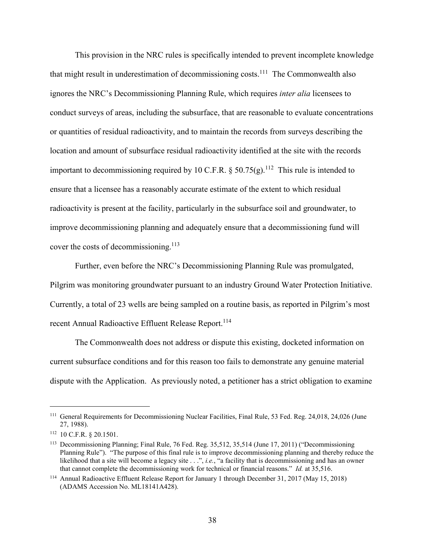This provision in the NRC rules is specifically intended to prevent incomplete knowledge that might result in underestimation of decommissioning costs.<sup>111</sup> The Commonwealth also ignores the NRC's Decommissioning Planning Rule, which requires *inter alia* licensees to conduct surveys of areas, including the subsurface, that are reasonable to evaluate concentrations or quantities of residual radioactivity, and to maintain the records from surveys describing the location and amount of subsurface residual radioactivity identified at the site with the records important to decommissioning required by 10 C.F.R. § 50.75(g).<sup>112</sup> This rule is intended to ensure that a licensee has a reasonably accurate estimate of the extent to which residual radioactivity is present at the facility, particularly in the subsurface soil and groundwater, to improve decommissioning planning and adequately ensure that a decommissioning fund will cover the costs of decommissioning.<sup>113</sup>

Further, even before the NRC's Decommissioning Planning Rule was promulgated, Pilgrim was monitoring groundwater pursuant to an industry Ground Water Protection Initiative. Currently, a total of 23 wells are being sampled on a routine basis, as reported in Pilgrim's most recent Annual Radioactive Effluent Release Report.<sup>114</sup>

The Commonwealth does not address or dispute this existing, docketed information on current subsurface conditions and for this reason too fails to demonstrate any genuine material dispute with the Application. As previously noted, a petitioner has a strict obligation to examine

<sup>&</sup>lt;sup>111</sup> General Requirements for Decommissioning Nuclear Facilities, Final Rule, 53 Fed. Reg. 24,018, 24,026 (June 27, 1988).

<sup>112</sup> 10 C.F.R. § 20.1501.

<sup>113</sup> Decommissioning Planning; Final Rule, 76 Fed. Reg. 35,512, 35,514 (June 17, 2011) ("Decommissioning Planning Rule"). "The purpose of this final rule is to improve decommissioning planning and thereby reduce the likelihood that a site will become a legacy site . . .", *i.e.*, "a facility that is decommissioning and has an owner that cannot complete the decommissioning work for technical or financial reasons." *Id.* at 35,516.

<sup>114</sup> Annual Radioactive Effluent Release Report for January 1 through December 31, 2017 (May 15, 2018) (ADAMS Accession No. ML18141A428).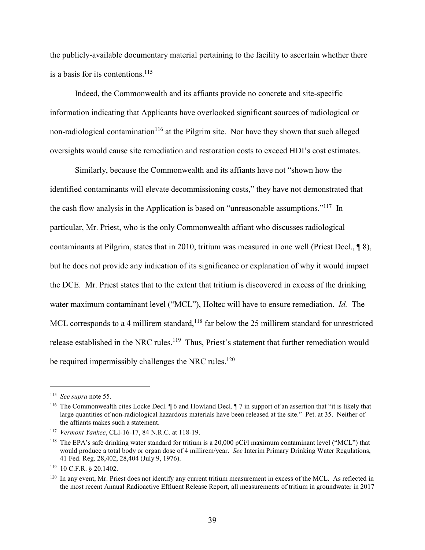the publicly-available documentary material pertaining to the facility to ascertain whether there is a basis for its contentions. $^{115}$ 

Indeed, the Commonwealth and its affiants provide no concrete and site-specific information indicating that Applicants have overlooked significant sources of radiological or non-radiological contamination<sup>116</sup> at the Pilgrim site. Nor have they shown that such alleged oversights would cause site remediation and restoration costs to exceed HDI's cost estimates.

Similarly, because the Commonwealth and its affiants have not "shown how the identified contaminants will elevate decommissioning costs," they have not demonstrated that the cash flow analysis in the Application is based on "unreasonable assumptions."117 In particular, Mr. Priest, who is the only Commonwealth affiant who discusses radiological contaminants at Pilgrim, states that in 2010, tritium was measured in one well (Priest Decl., ¶ 8), but he does not provide any indication of its significance or explanation of why it would impact the DCE. Mr. Priest states that to the extent that tritium is discovered in excess of the drinking water maximum contaminant level ("MCL"), Holtec will have to ensure remediation. *Id.* The MCL corresponds to a 4 millirem standard,<sup>118</sup> far below the 25 millirem standard for unrestricted release established in the NRC rules.<sup>119</sup> Thus, Priest's statement that further remediation would be required impermissibly challenges the NRC rules.<sup>120</sup>

 <sup>115</sup> *See supra* note 55.

<sup>116</sup> The Commonwealth cites Locke Decl. ¶ 6 and Howland Decl. ¶ 7 in support of an assertion that "it is likely that large quantities of non-radiological hazardous materials have been released at the site." Pet. at 35. Neither of the affiants makes such a statement.

<sup>117</sup> *Vermont Yankee*, CLI-16-17, 84 N.R.C. at 118-19.

<sup>&</sup>lt;sup>118</sup> The EPA's safe drinking water standard for tritium is a 20,000 pCi/l maximum contaminant level ("MCL") that would produce a total body or organ dose of 4 millirem/year. *See* Interim Primary Drinking Water Regulations, 41 Fed. Reg. 28,402, 28,404 (July 9, 1976).

<sup>119</sup> 10 C.F.R. § 20.1402.

 $120$  In any event. Mr. Priest does not identify any current tritium measurement in excess of the MCL. As reflected in the most recent Annual Radioactive Effluent Release Report, all measurements of tritium in groundwater in 2017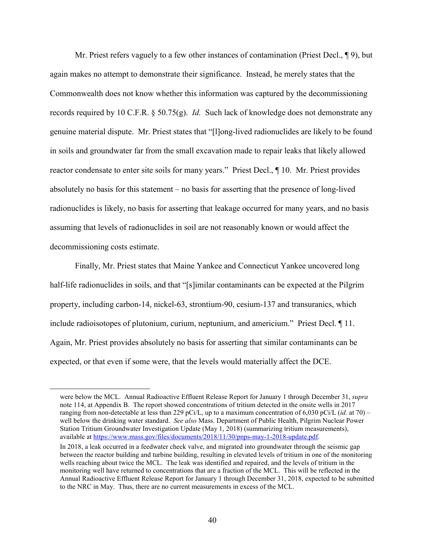Mr. Priest refers vaguely to a few other instances of contamination (Priest Decl., ¶ 9), but again makes no attempt to demonstrate their significance. Instead, he merely states that the Commonwealth does not know whether this information was captured by the decommissioning records required by 10 C.F.R. § 50.75(g). *Id.* Such lack of knowledge does not demonstrate any genuine material dispute. Mr. Priest states that "[l]ong-lived radionuclides are likely to be found in soils and groundwater far from the small excavation made to repair leaks that likely allowed reactor condensate to enter site soils for many years." Priest Decl., ¶ 10. Mr. Priest provides absolutely no basis for this statement – no basis for asserting that the presence of long-lived radionuclides is likely, no basis for asserting that leakage occurred for many years, and no basis assuming that levels of radionuclides in soil are not reasonably known or would affect the decommissioning costs estimate.

Finally, Mr. Priest states that Maine Yankee and Connecticut Yankee uncovered long half-life radionuclides in soils, and that "[s]imilar contaminants can be expected at the Pilgrim property, including carbon-14, nickel-63, strontium-90, cesium-137 and transuranics, which include radioisotopes of plutonium, curium, neptunium, and americium." Priest Decl. ¶ 11. Again, Mr. Priest provides absolutely no basis for asserting that similar contaminants can be expected, or that even if some were, that the levels would materially affect the DCE.

 $\overline{a}$ 

were below the MCL. Annual Radioactive Effluent Release Report for January 1 through December 31, *supra* note 114, at Appendix B. The report showed concentrations of tritium detected in the onsite wells in 2017 ranging from non-detectable at less than 229 pCi/L, up to a maximum concentration of 6,030 pCi/L (*id.* at 70) – well below the drinking water standard. *See also* Mass. Department of Public Health, Pilgrim Nuclear Power Station Tritium Groundwater Investigation Update (May 1, 2018) (summarizing tritium measurements), available at https://www.mass.gov/files/documents/2018/11/30/pnps-may-1-2018-update.pdf.

In 2018, a leak occurred in a feedwater check valve, and migrated into groundwater through the seismic gap between the reactor building and turbine building, resulting in elevated levels of tritium in one of the monitoring wells reaching about twice the MCL. The leak was identified and repaired, and the levels of tritium in the monitoring well have returned to concentrations that are a fraction of the MCL. This will be reflected in the Annual Radioactive Effluent Release Report for January 1 through December 31, 2018, expected to be submitted to the NRC in May. Thus, there are no current measurements in excess of the MCL.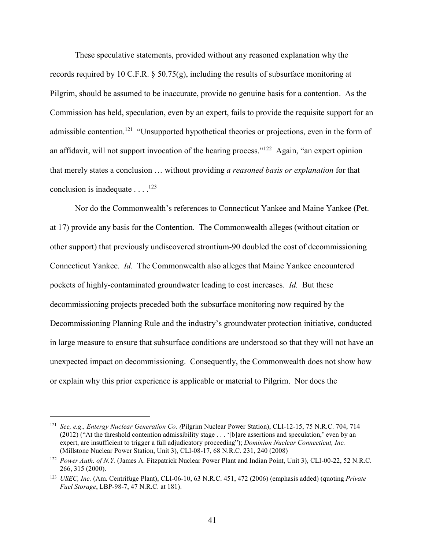These speculative statements, provided without any reasoned explanation why the records required by 10 C.F.R. § 50.75(g), including the results of subsurface monitoring at Pilgrim, should be assumed to be inaccurate, provide no genuine basis for a contention. As the Commission has held, speculation, even by an expert, fails to provide the requisite support for an admissible contention.<sup>121</sup> "Unsupported hypothetical theories or projections, even in the form of an affidavit, will not support invocation of the hearing process."<sup>122</sup> Again, "an expert opinion that merely states a conclusion … without providing *a reasoned basis or explanation* for that conclusion is inadequate  $\dots$ <sup>123</sup>

Nor do the Commonwealth's references to Connecticut Yankee and Maine Yankee (Pet. at 17) provide any basis for the Contention. The Commonwealth alleges (without citation or other support) that previously undiscovered strontium-90 doubled the cost of decommissioning Connecticut Yankee. *Id.* The Commonwealth also alleges that Maine Yankee encountered pockets of highly-contaminated groundwater leading to cost increases. *Id.* But these decommissioning projects preceded both the subsurface monitoring now required by the Decommissioning Planning Rule and the industry's groundwater protection initiative, conducted in large measure to ensure that subsurface conditions are understood so that they will not have an unexpected impact on decommissioning. Consequently, the Commonwealth does not show how or explain why this prior experience is applicable or material to Pilgrim. Nor does the

 <sup>121</sup> *See, e.g., Entergy Nuclear Generation Co. (*Pilgrim Nuclear Power Station), CLI-12-15, 75 N.R.C. 704, 714 (2012) ("At the threshold contention admissibility stage . . . '[b]are assertions and speculation,' even by an expert, are insufficient to trigger a full adjudicatory proceeding"); *Dominion Nuclear Connecticut, Inc.* (Millstone Nuclear Power Station, Unit 3), CLI-08-17, 68 N.R.C. 231, 240 (2008)

<sup>&</sup>lt;sup>122</sup> Power Auth. of N.Y. (James A. Fitzpatrick Nuclear Power Plant and Indian Point, Unit 3), CLI-00-22, 52 N.R.C. 266, 315 (2000).

<sup>123</sup> *USEC, Inc.* (Am. Centrifuge Plant), CLI-06-10, 63 N.R.C. 451, 472 (2006) (emphasis added) (quoting *Private Fuel Storage*, LBP-98-7, 47 N.R.C. at 181).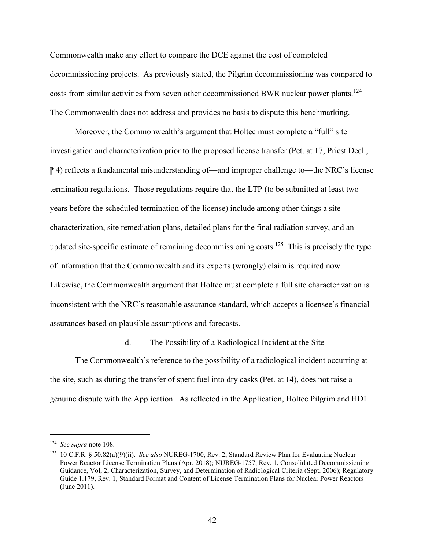Commonwealth make any effort to compare the DCE against the cost of completed decommissioning projects. As previously stated, the Pilgrim decommissioning was compared to costs from similar activities from seven other decommissioned BWR nuclear power plants.<sup>124</sup> The Commonwealth does not address and provides no basis to dispute this benchmarking.

Moreover, the Commonwealth's argument that Holtec must complete a "full" site investigation and characterization prior to the proposed license transfer (Pet. at 17; Priest Decl., **[↑ 4**) reflects a fundamental misunderstanding of—and improper challenge to—the NRC's license termination regulations. Those regulations require that the LTP (to be submitted at least two years before the scheduled termination of the license) include among other things a site characterization, site remediation plans, detailed plans for the final radiation survey, and an updated site-specific estimate of remaining decommissioning costs.<sup>125</sup> This is precisely the type of information that the Commonwealth and its experts (wrongly) claim is required now. Likewise, the Commonwealth argument that Holtec must complete a full site characterization is inconsistent with the NRC's reasonable assurance standard, which accepts a licensee's financial assurances based on plausible assumptions and forecasts.

#### d. The Possibility of a Radiological Incident at the Site

The Commonwealth's reference to the possibility of a radiological incident occurring at the site, such as during the transfer of spent fuel into dry casks (Pet. at 14), does not raise a genuine dispute with the Application. As reflected in the Application, Holtec Pilgrim and HDI

 <sup>124</sup> *See supra* note 108.

<sup>125</sup> 10 C.F.R. § 50.82(a)(9)(ii). *See also* NUREG-1700, Rev. 2, Standard Review Plan for Evaluating Nuclear Power Reactor License Termination Plans (Apr. 2018); NUREG-1757, Rev. 1, Consolidated Decommissioning Guidance, Vol, 2, Characterization, Survey, and Determination of Radiological Criteria (Sept. 2006); Regulatory Guide 1.179, Rev. 1, Standard Format and Content of License Termination Plans for Nuclear Power Reactors (June 2011).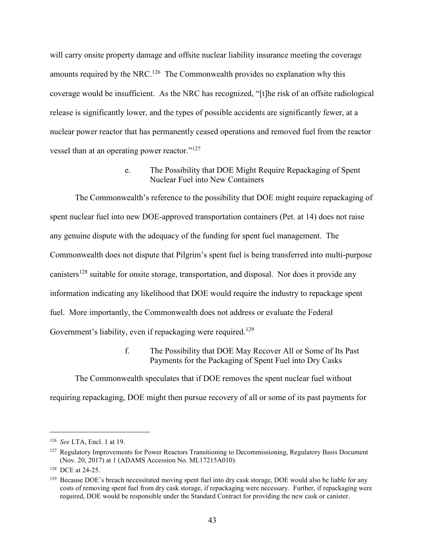will carry onsite property damage and offsite nuclear liability insurance meeting the coverage amounts required by the NRC.<sup>126</sup> The Commonwealth provides no explanation why this coverage would be insufficient. As the NRC has recognized, "[t]he risk of an offsite radiological release is significantly lower, and the types of possible accidents are significantly fewer, at a nuclear power reactor that has permanently ceased operations and removed fuel from the reactor vessel than at an operating power reactor."<sup>127</sup>

> e. The Possibility that DOE Might Require Repackaging of Spent Nuclear Fuel into New Containers

The Commonwealth's reference to the possibility that DOE might require repackaging of spent nuclear fuel into new DOE-approved transportation containers (Pet. at 14) does not raise any genuine dispute with the adequacy of the funding for spent fuel management. The Commonwealth does not dispute that Pilgrim's spent fuel is being transferred into multi-purpose canisters<sup>128</sup> suitable for onsite storage, transportation, and disposal. Nor does it provide any information indicating any likelihood that DOE would require the industry to repackage spent fuel. More importantly, the Commonwealth does not address or evaluate the Federal Government's liability, even if repackaging were required.<sup>129</sup>

> f. The Possibility that DOE May Recover All or Some of Its Past Payments for the Packaging of Spent Fuel into Dry Casks

The Commonwealth speculates that if DOE removes the spent nuclear fuel without requiring repackaging, DOE might then pursue recovery of all or some of its past payments for

 <sup>126</sup> *See* LTA, Encl. 1 at 19.

 $127$  Regulatory Improvements for Power Reactors Transitioning to Decommissioning, Regulatory Basis Document (Nov. 20, 2017) at 1 (ADAMS Accession No. ML17215A010).

<sup>128</sup> DCE at 24-25.

 $129$  Because DOE's breach necessitated moving spent fuel into dry cask storage, DOE would also be liable for any costs of removing spent fuel from dry cask storage, if repackaging were necessary. Further, if repackaging were required, DOE would be responsible under the Standard Contract for providing the new cask or canister.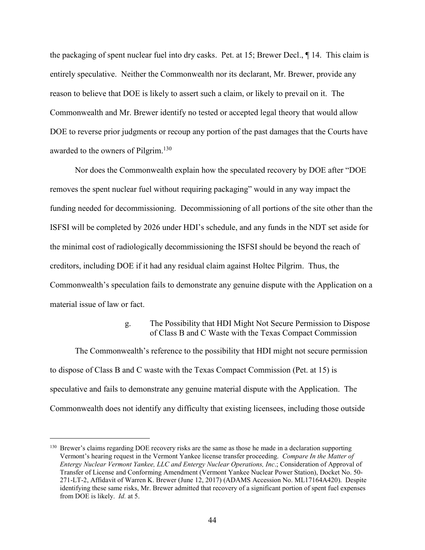the packaging of spent nuclear fuel into dry casks. Pet. at 15; Brewer Decl., ¶ 14. This claim is entirely speculative. Neither the Commonwealth nor its declarant, Mr. Brewer, provide any reason to believe that DOE is likely to assert such a claim, or likely to prevail on it. The Commonwealth and Mr. Brewer identify no tested or accepted legal theory that would allow DOE to reverse prior judgments or recoup any portion of the past damages that the Courts have awarded to the owners of Pilgrim.<sup>130</sup>

Nor does the Commonwealth explain how the speculated recovery by DOE after "DOE removes the spent nuclear fuel without requiring packaging" would in any way impact the funding needed for decommissioning. Decommissioning of all portions of the site other than the ISFSI will be completed by 2026 under HDI's schedule, and any funds in the NDT set aside for the minimal cost of radiologically decommissioning the ISFSI should be beyond the reach of creditors, including DOE if it had any residual claim against Holtec Pilgrim. Thus, the Commonwealth's speculation fails to demonstrate any genuine dispute with the Application on a material issue of law or fact.

#### g. The Possibility that HDI Might Not Secure Permission to Dispose of Class B and C Waste with the Texas Compact Commission

The Commonwealth's reference to the possibility that HDI might not secure permission to dispose of Class B and C waste with the Texas Compact Commission (Pet. at 15) is speculative and fails to demonstrate any genuine material dispute with the Application. The Commonwealth does not identify any difficulty that existing licensees, including those outside

<sup>&</sup>lt;sup>130</sup> Brewer's claims regarding DOE recovery risks are the same as those he made in a declaration supporting Vermont's hearing request in the Vermont Yankee license transfer proceeding. *Compare In the Matter of Entergy Nuclear Vermont Yankee, LLC and Entergy Nuclear Operations, Inc*.; Consideration of Approval of Transfer of License and Conforming Amendment (Vermont Yankee Nuclear Power Station), Docket No. 50- 271-LT-2, Affidavit of Warren K. Brewer (June 12, 2017) (ADAMS Accession No. ML17164A420). Despite identifying these same risks, Mr. Brewer admitted that recovery of a significant portion of spent fuel expenses from DOE is likely. *Id.* at 5.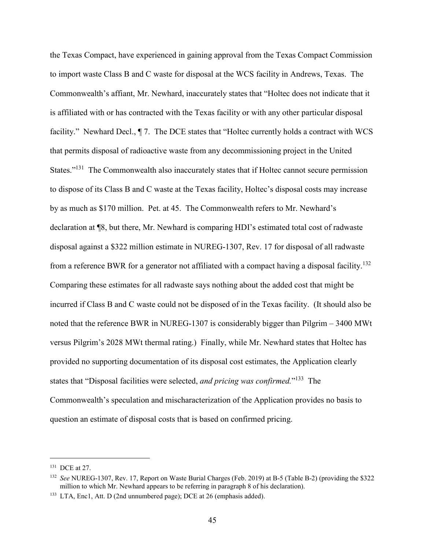the Texas Compact, have experienced in gaining approval from the Texas Compact Commission to import waste Class B and C waste for disposal at the WCS facility in Andrews, Texas. The Commonwealth's affiant, Mr. Newhard, inaccurately states that "Holtec does not indicate that it is affiliated with or has contracted with the Texas facility or with any other particular disposal facility." Newhard Decl.,  $\P$  7. The DCE states that "Holtec currently holds a contract with WCS that permits disposal of radioactive waste from any decommissioning project in the United States."<sup>131</sup> The Commonwealth also inaccurately states that if Holtec cannot secure permission to dispose of its Class B and C waste at the Texas facility, Holtec's disposal costs may increase by as much as \$170 million. Pet. at 45. The Commonwealth refers to Mr. Newhard's declaration at ¶8, but there, Mr. Newhard is comparing HDI's estimated total cost of radwaste disposal against a \$322 million estimate in NUREG-1307, Rev. 17 for disposal of all radwaste from a reference BWR for a generator not affiliated with a compact having a disposal facility.<sup>132</sup> Comparing these estimates for all radwaste says nothing about the added cost that might be incurred if Class B and C waste could not be disposed of in the Texas facility. (It should also be noted that the reference BWR in NUREG-1307 is considerably bigger than Pilgrim – 3400 MWt versus Pilgrim's 2028 MWt thermal rating.) Finally, while Mr. Newhard states that Holtec has provided no supporting documentation of its disposal cost estimates, the Application clearly states that "Disposal facilities were selected, *and pricing was confirmed.*"133 The Commonwealth's speculation and mischaracterization of the Application provides no basis to question an estimate of disposal costs that is based on confirmed pricing.

 <sup>131</sup> DCE at 27.

<sup>132</sup> *See* NUREG-1307, Rev. 17, Report on Waste Burial Charges (Feb. 2019) at B-5 (Table B-2) (providing the \$322 million to which Mr. Newhard appears to be referring in paragraph 8 of his declaration).

<sup>133</sup> LTA, Enc1, Att. D (2nd unnumbered page); DCE at 26 (emphasis added).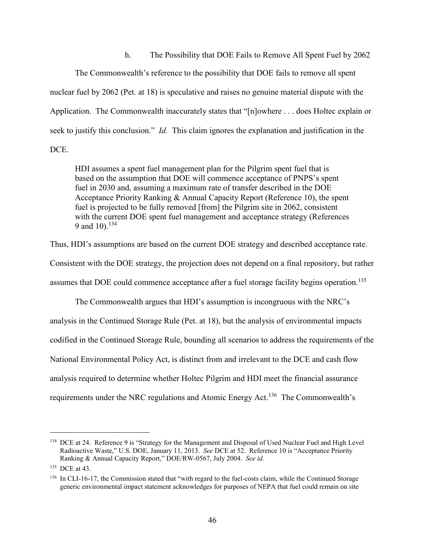h. The Possibility that DOE Fails to Remove All Spent Fuel by 2062

The Commonwealth's reference to the possibility that DOE fails to remove all spent nuclear fuel by 2062 (Pet. at 18) is speculative and raises no genuine material dispute with the Application. The Commonwealth inaccurately states that "[n]owhere . . . does Holtec explain or seek to justify this conclusion." *Id.* This claim ignores the explanation and justification in the DCE.

HDI assumes a spent fuel management plan for the Pilgrim spent fuel that is based on the assumption that DOE will commence acceptance of PNPS's spent fuel in 2030 and, assuming a maximum rate of transfer described in the DOE Acceptance Priority Ranking & Annual Capacity Report (Reference 10), the spent fuel is projected to be fully removed [from] the Pilgrim site in 2062, consistent with the current DOE spent fuel management and acceptance strategy (References 9 and 10). $134$ 

Thus, HDI's assumptions are based on the current DOE strategy and described acceptance rate.

Consistent with the DOE strategy, the projection does not depend on a final repository, but rather

assumes that DOE could commence acceptance after a fuel storage facility begins operation.<sup>135</sup>

The Commonwealth argues that HDI's assumption is incongruous with the NRC's analysis in the Continued Storage Rule (Pet. at 18), but the analysis of environmental impacts codified in the Continued Storage Rule, bounding all scenarios to address the requirements of the National Environmental Policy Act, is distinct from and irrelevant to the DCE and cash flow analysis required to determine whether Holtec Pilgrim and HDI meet the financial assurance requirements under the NRC regulations and Atomic Energy Act.136 The Commonwealth's

<sup>&</sup>lt;sup>134</sup> DCE at 24. Reference 9 is "Strategy for the Management and Disposal of Used Nuclear Fuel and High Level Radioactive Waste," U.S. DOE, January 11, 2013. *See* DCE at 52. Reference 10 is "Acceptance Priority Ranking & Annual Capacity Report," DOE/RW-0567, July 2004. *See id.*

<sup>135</sup> DCE at 43.

<sup>136</sup> In CLI-16-17, the Commission stated that "with regard to the fuel-costs claim, while the Continued Storage generic environmental impact statement acknowledges for purposes of NEPA that fuel could remain on site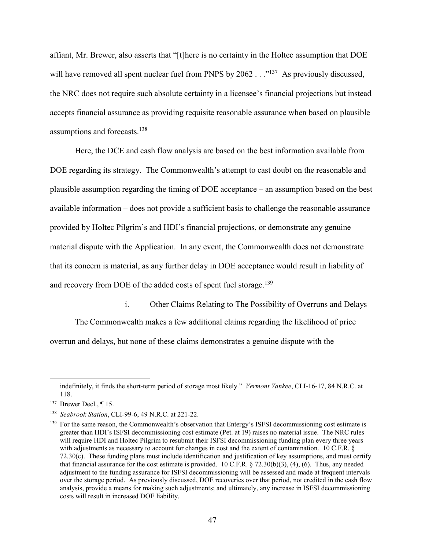affiant, Mr. Brewer, also asserts that "[t]here is no certainty in the Holtec assumption that DOE will have removed all spent nuclear fuel from PNPS by 2062 . . .<sup>"137</sup> As previously discussed, the NRC does not require such absolute certainty in a licensee's financial projections but instead accepts financial assurance as providing requisite reasonable assurance when based on plausible assumptions and forecasts.<sup>138</sup>

Here, the DCE and cash flow analysis are based on the best information available from DOE regarding its strategy. The Commonwealth's attempt to cast doubt on the reasonable and plausible assumption regarding the timing of DOE acceptance – an assumption based on the best available information – does not provide a sufficient basis to challenge the reasonable assurance provided by Holtec Pilgrim's and HDI's financial projections, or demonstrate any genuine material dispute with the Application. In any event, the Commonwealth does not demonstrate that its concern is material, as any further delay in DOE acceptance would result in liability of and recovery from DOE of the added costs of spent fuel storage.<sup>139</sup>

i. Other Claims Relating to The Possibility of Overruns and Delays

The Commonwealth makes a few additional claims regarding the likelihood of price overrun and delays, but none of these claims demonstrates a genuine dispute with the

<u>.</u>

indefinitely, it finds the short-term period of storage most likely." *Vermont Yankee*, CLI-16-17, 84 N.R.C. at 118.

<sup>&</sup>lt;sup>137</sup> Brewer Decl., ¶ 15.

<sup>138</sup> *Seabrook Station*, CLI-99-6, 49 N.R.C. at 221-22.

<sup>&</sup>lt;sup>139</sup> For the same reason, the Commonwealth's observation that Entergy's ISFSI decommissioning cost estimate is greater than HDI's ISFSI decommissioning cost estimate (Pet. at 19) raises no material issue. The NRC rules will require HDI and Holtec Pilgrim to resubmit their ISFSI decommissioning funding plan every three years with adjustments as necessary to account for changes in cost and the extent of contamination. 10 C.F.R. § 72.30(c). These funding plans must include identification and justification of key assumptions, and must certify that financial assurance for the cost estimate is provided.  $10 \text{ C.F.R.}$  § 72.30(b)(3), (4), (6). Thus, any needed adjustment to the funding assurance for ISFSI decommissioning will be assessed and made at frequent intervals over the storage period. As previously discussed, DOE recoveries over that period, not credited in the cash flow analysis, provide a means for making such adjustments; and ultimately, any increase in ISFSI decommissioning costs will result in increased DOE liability.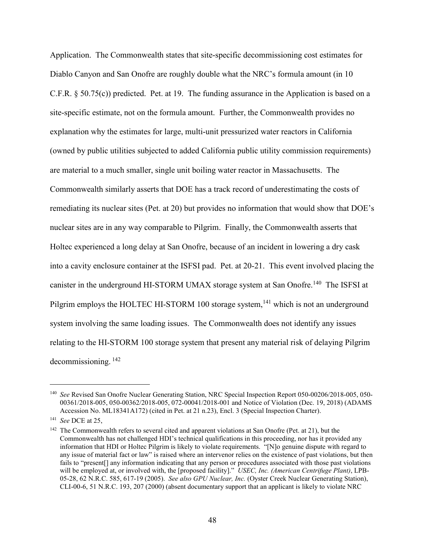Application. The Commonwealth states that site-specific decommissioning cost estimates for Diablo Canyon and San Onofre are roughly double what the NRC's formula amount (in 10 C.F.R. § 50.75(c)) predicted. Pet. at 19. The funding assurance in the Application is based on a site-specific estimate, not on the formula amount. Further, the Commonwealth provides no explanation why the estimates for large, multi-unit pressurized water reactors in California (owned by public utilities subjected to added California public utility commission requirements) are material to a much smaller, single unit boiling water reactor in Massachusetts. The Commonwealth similarly asserts that DOE has a track record of underestimating the costs of remediating its nuclear sites (Pet. at 20) but provides no information that would show that DOE's nuclear sites are in any way comparable to Pilgrim. Finally, the Commonwealth asserts that Holtec experienced a long delay at San Onofre, because of an incident in lowering a dry cask into a cavity enclosure container at the ISFSI pad. Pet. at 20-21. This event involved placing the canister in the underground HI-STORM UMAX storage system at San Onofre.<sup>140</sup> The ISFSI at Pilgrim employs the HOLTEC HI-STORM 100 storage system,<sup>141</sup> which is not an underground system involving the same loading issues. The Commonwealth does not identify any issues relating to the HI-STORM 100 storage system that present any material risk of delaying Pilgrim decommissioning. <sup>142</sup>

<sup>&</sup>lt;sup>140</sup> *See* Revised San Onofre Nuclear Generating Station, NRC Special Inspection Report 050-00206/2018-005, 050-00361/2018-005, 050-00362/2018-005, 072-00041/2018-001 and Notice of Violation (Dec. 19, 2018) (ADAMS Accession No. ML18341A172) (cited in Pet. at 21 n.23), Encl. 3 (Special Inspection Charter).

<sup>141</sup> *See* DCE at 25,

 $142$  The Commonwealth refers to several cited and apparent violations at San Onofre (Pet. at 21), but the Commonwealth has not challenged HDI's technical qualifications in this proceeding, nor has it provided any information that HDI or Holtec Pilgrim is likely to violate requirements. "[N]o genuine dispute with regard to any issue of material fact or law" is raised where an intervenor relies on the existence of past violations, but then fails to "present<sup>[]</sup> any information indicating that any person or procedures associated with those past violations will be employed at, or involved with, the [proposed facility]." *USEC, Inc. (American Centrifuge Plant)*, LPB-05-28, 62 N.R.C. 585, 617-19 (2005). *See also GPU Nuclear, Inc.* (Oyster Creek Nuclear Generating Station), CLI-00-6, 51 N.R.C. 193, 207 (2000) (absent documentary support that an applicant is likely to violate NRC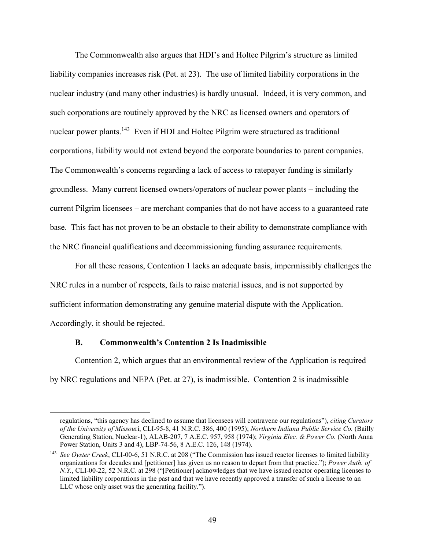The Commonwealth also argues that HDI's and Holtec Pilgrim's structure as limited liability companies increases risk (Pet. at 23). The use of limited liability corporations in the nuclear industry (and many other industries) is hardly unusual. Indeed, it is very common, and such corporations are routinely approved by the NRC as licensed owners and operators of nuclear power plants.<sup>143</sup> Even if HDI and Holtec Pilgrim were structured as traditional corporations, liability would not extend beyond the corporate boundaries to parent companies. The Commonwealth's concerns regarding a lack of access to ratepayer funding is similarly groundless. Many current licensed owners/operators of nuclear power plants – including the current Pilgrim licensees – are merchant companies that do not have access to a guaranteed rate base. This fact has not proven to be an obstacle to their ability to demonstrate compliance with the NRC financial qualifications and decommissioning funding assurance requirements.

For all these reasons, Contention 1 lacks an adequate basis, impermissibly challenges the NRC rules in a number of respects, fails to raise material issues, and is not supported by sufficient information demonstrating any genuine material dispute with the Application. Accordingly, it should be rejected.

#### **B. Commonwealth's Contention 2 Is Inadmissible**

Contention 2, which argues that an environmental review of the Application is required by NRC regulations and NEPA (Pet. at 27), is inadmissible. Contention 2 is inadmissible

regulations, "this agency has declined to assume that licensees will contravene our regulations"), *citing Curators of the University of Missou*ri, CLI-95-8, 41 N.R.C. 386, 400 (1995); *Northern Indiana Public Service Co.* (Bailly Generating Station, Nuclear-1), ALAB-207, 7 A.E.C. 957, 958 (1974); *Virginia Elec. & Power Co.* (North Anna Power Station, Units 3 and 4), LBP-74-56, 8 A.E.C. 126, 148 (1974).

<sup>143</sup> *See Oyster Creek*, CLI-00-6, 51 N.R.C. at 208 ("The Commission has issued reactor licenses to limited liability organizations for decades and [petitioner] has given us no reason to depart from that practice."); *Power Auth. of N.Y.*, CLI-00-22, 52 N.R.C. at 298 ("[Petitioner] acknowledges that we have issued reactor operating licenses to limited liability corporations in the past and that we have recently approved a transfer of such a license to an LLC whose only asset was the generating facility.").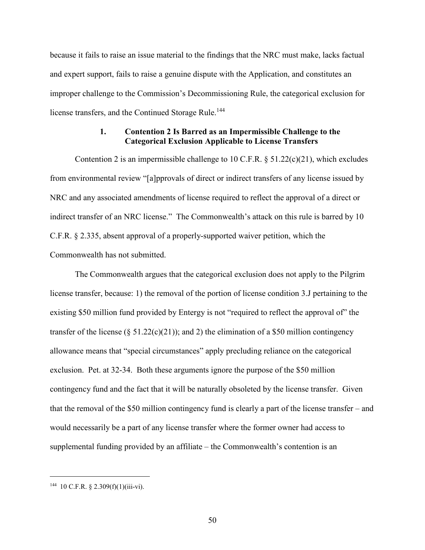because it fails to raise an issue material to the findings that the NRC must make, lacks factual and expert support, fails to raise a genuine dispute with the Application, and constitutes an improper challenge to the Commission's Decommissioning Rule, the categorical exclusion for license transfers, and the Continued Storage Rule.<sup>144</sup>

#### **1. Contention 2 Is Barred as an Impermissible Challenge to the Categorical Exclusion Applicable to License Transfers**

Contention 2 is an impermissible challenge to 10 C.F.R.  $\S$  51.22(c)(21), which excludes from environmental review "[a]pprovals of direct or indirect transfers of any license issued by NRC and any associated amendments of license required to reflect the approval of a direct or indirect transfer of an NRC license." The Commonwealth's attack on this rule is barred by 10 C.F.R. § 2.335, absent approval of a properly-supported waiver petition, which the Commonwealth has not submitted.

The Commonwealth argues that the categorical exclusion does not apply to the Pilgrim license transfer, because: 1) the removal of the portion of license condition 3.J pertaining to the existing \$50 million fund provided by Entergy is not "required to reflect the approval of" the transfer of the license (§ 51.22(c)(21)); and 2) the elimination of a \$50 million contingency allowance means that "special circumstances" apply precluding reliance on the categorical exclusion. Pet. at 32-34. Both these arguments ignore the purpose of the \$50 million contingency fund and the fact that it will be naturally obsoleted by the license transfer. Given that the removal of the \$50 million contingency fund is clearly a part of the license transfer – and would necessarily be a part of any license transfer where the former owner had access to supplemental funding provided by an affiliate – the Commonwealth's contention is an

 $144$  10 C.F.R. § 2.309(f)(1)(iii-vi).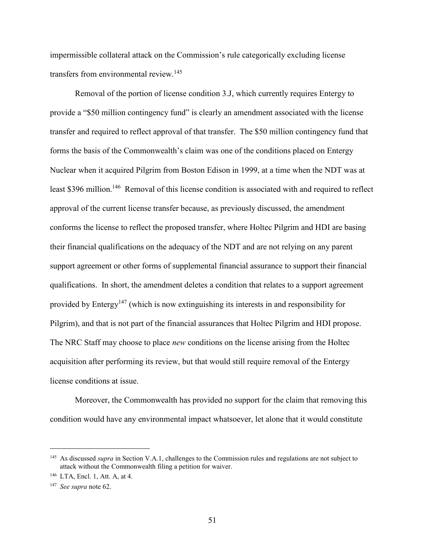impermissible collateral attack on the Commission's rule categorically excluding license transfers from environmental review.<sup>145</sup>

Removal of the portion of license condition 3.J, which currently requires Entergy to provide a "\$50 million contingency fund" is clearly an amendment associated with the license transfer and required to reflect approval of that transfer. The \$50 million contingency fund that forms the basis of the Commonwealth's claim was one of the conditions placed on Entergy Nuclear when it acquired Pilgrim from Boston Edison in 1999, at a time when the NDT was at least \$396 million.<sup>146</sup> Removal of this license condition is associated with and required to reflect approval of the current license transfer because, as previously discussed, the amendment conforms the license to reflect the proposed transfer, where Holtec Pilgrim and HDI are basing their financial qualifications on the adequacy of the NDT and are not relying on any parent support agreement or other forms of supplemental financial assurance to support their financial qualifications. In short, the amendment deletes a condition that relates to a support agreement provided by Entergy<sup>147</sup> (which is now extinguishing its interests in and responsibility for Pilgrim), and that is not part of the financial assurances that Holtec Pilgrim and HDI propose. The NRC Staff may choose to place *new* conditions on the license arising from the Holtec acquisition after performing its review, but that would still require removal of the Entergy license conditions at issue.

Moreover, the Commonwealth has provided no support for the claim that removing this condition would have any environmental impact whatsoever, let alone that it would constitute

<sup>&</sup>lt;sup>145</sup> As discussed *supra* in Section V.A.1, challenges to the Commission rules and regulations are not subject to attack without the Commonwealth filing a petition for waiver.

<sup>146</sup> LTA, Encl. 1, Att. A, at 4.

<sup>147</sup> *See supra* note 62.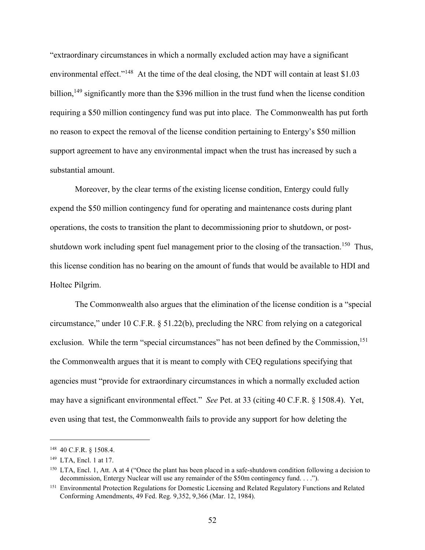"extraordinary circumstances in which a normally excluded action may have a significant environmental effect."<sup>148</sup> At the time of the deal closing, the NDT will contain at least \$1.03 billion,<sup>149</sup> significantly more than the \$396 million in the trust fund when the license condition requiring a \$50 million contingency fund was put into place. The Commonwealth has put forth no reason to expect the removal of the license condition pertaining to Entergy's \$50 million support agreement to have any environmental impact when the trust has increased by such a substantial amount.

Moreover, by the clear terms of the existing license condition, Entergy could fully expend the \$50 million contingency fund for operating and maintenance costs during plant operations, the costs to transition the plant to decommissioning prior to shutdown, or postshutdown work including spent fuel management prior to the closing of the transaction.<sup>150</sup> Thus, this license condition has no bearing on the amount of funds that would be available to HDI and Holtec Pilgrim.

The Commonwealth also argues that the elimination of the license condition is a "special circumstance," under 10 C.F.R. § 51.22(b), precluding the NRC from relying on a categorical exclusion. While the term "special circumstances" has not been defined by the Commission,<sup>151</sup> the Commonwealth argues that it is meant to comply with CEQ regulations specifying that agencies must "provide for extraordinary circumstances in which a normally excluded action may have a significant environmental effect." *See* Pet. at 33 (citing 40 C.F.R. § 1508.4). Yet, even using that test, the Commonwealth fails to provide any support for how deleting the

 <sup>148</sup> 40 C.F.R. § 1508.4.

<sup>149</sup> LTA, Encl. 1 at 17.

<sup>&</sup>lt;sup>150</sup> LTA, Encl. 1, Att. A at 4 ("Once the plant has been placed in a safe-shutdown condition following a decision to decommission, Entergy Nuclear will use any remainder of the \$50m contingency fund. . . .").

<sup>&</sup>lt;sup>151</sup> Environmental Protection Regulations for Domestic Licensing and Related Regulatory Functions and Related Conforming Amendments, 49 Fed. Reg. 9,352, 9,366 (Mar. 12, 1984).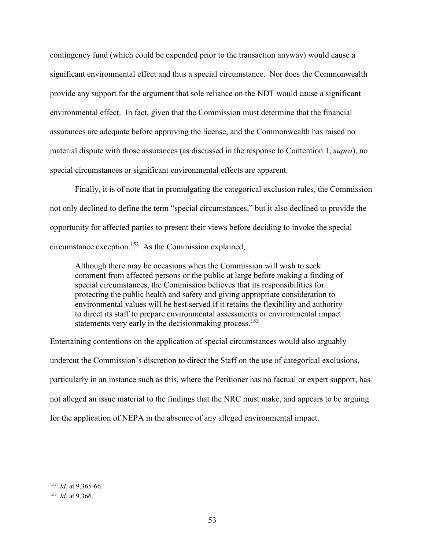contingency fund (which could be expended prior to the transaction anyway) would cause a significant environmental effect and thus a special circumstance. Nor does the Commonwealth provide any support for the argument that sole reliance on the NDT would cause a significant environmental effect. In fact, given that the Commission must determine that the financial assurances are adequate before approving the license, and the Commonwealth has raised no material dispute with those assurances (as discussed in the response to Contention 1, *supra*), no special circumstances or significant environmental effects are apparent.

Finally, it is of note that in promulgating the categorical exclusion rules, the Commission not only declined to define the term "special circumstances," but it also declined to provide the opportunity for affected parties to present their views before deciding to invoke the special circumstance exception.152 As the Commission explained,

Although there may be occasions when the Commission will wish to seek comment from affected persons or the public at large before making a finding of special circumstances, the Commission believes that its responsibilities for protecting the public health and safety and giving appropriate consideration to environmental values will be best served if it retains the flexibility and authority to direct its staff to prepare environmental assessments or environmental impact statements very early in the decision making process.<sup>153</sup>

Entertaining contentions on the application of special circumstances would also arguably undercut the Commission's discretion to direct the Staff on the use of categorical exclusions, particularly in an instance such as this, where the Petitioner has no factual or expert support, has not alleged an issue material to the findings that the NRC must make, and appears to be arguing for the application of NEPA in the absence of any alleged environmental impact.

 <sup>152</sup> *Id.* at 9,365-66.

<sup>153</sup> *Id.* at 9,366.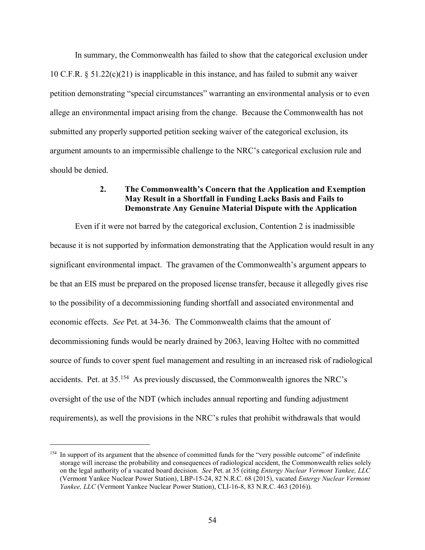In summary, the Commonwealth has failed to show that the categorical exclusion under 10 C.F.R. § 51.22(c)(21) is inapplicable in this instance, and has failed to submit any waiver petition demonstrating "special circumstances" warranting an environmental analysis or to even allege an environmental impact arising from the change. Because the Commonwealth has not submitted any properly supported petition seeking waiver of the categorical exclusion, its argument amounts to an impermissible challenge to the NRC's categorical exclusion rule and should be denied.

### **2. The Commonwealth's Concern that the Application and Exemption May Result in a Shortfall in Funding Lacks Basis and Fails to Demonstrate Any Genuine Material Dispute with the Application**

Even if it were not barred by the categorical exclusion, Contention 2 is inadmissible because it is not supported by information demonstrating that the Application would result in any significant environmental impact. The gravamen of the Commonwealth's argument appears to be that an EIS must be prepared on the proposed license transfer, because it allegedly gives rise to the possibility of a decommissioning funding shortfall and associated environmental and economic effects. *See* Pet. at 34-36. The Commonwealth claims that the amount of decommissioning funds would be nearly drained by 2063, leaving Holtec with no committed source of funds to cover spent fuel management and resulting in an increased risk of radiological accidents. Pet. at 35.154 As previously discussed, the Commonwealth ignores the NRC's oversight of the use of the NDT (which includes annual reporting and funding adjustment requirements), as well the provisions in the NRC's rules that prohibit withdrawals that would

<sup>&</sup>lt;sup>154</sup> In support of its argument that the absence of committed funds for the "very possible outcome" of indefinite storage will increase the probability and consequences of radiological accident, the Commonwealth relies solely on the legal authority of a vacated board decision. *See* Pet. at 35 (citing *Entergy Nuclear Vermont Yankee, LLC* (Vermont Yankee Nuclear Power Station), LBP-15-24, 82 N.R.C. 68 (2015), vacated *Entergy Nuclear Vermont Yankee, LLC* (Vermont Yankee Nuclear Power Station), CLI-16-8, 83 N.R.C. 463 (2016)).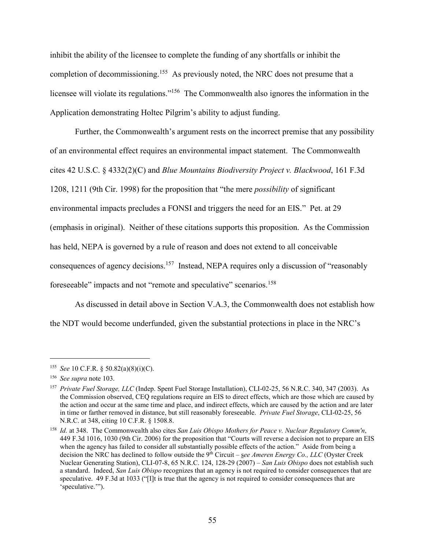inhibit the ability of the licensee to complete the funding of any shortfalls or inhibit the completion of decommissioning.<sup>155</sup> As previously noted, the NRC does not presume that a licensee will violate its regulations."156 The Commonwealth also ignores the information in the Application demonstrating Holtec Pilgrim's ability to adjust funding.

Further, the Commonwealth's argument rests on the incorrect premise that any possibility of an environmental effect requires an environmental impact statement. The Commonwealth cites 42 U.S.C. § 4332(2)(C) and *Blue Mountains Biodiversity Project v. Blackwood*, 161 F.3d 1208, 1211 (9th Cir. 1998) for the proposition that "the mere *possibility* of significant environmental impacts precludes a FONSI and triggers the need for an EIS." Pet. at 29 (emphasis in original). Neither of these citations supports this proposition. As the Commission has held, NEPA is governed by a rule of reason and does not extend to all conceivable consequences of agency decisions.<sup>157</sup> Instead, NEPA requires only a discussion of "reasonably foreseeable" impacts and not "remote and speculative" scenarios.<sup>158</sup>

As discussed in detail above in Section V.A.3, the Commonwealth does not establish how the NDT would become underfunded, given the substantial protections in place in the NRC's

 <sup>155</sup> *See* 10 C.F.R. § 50.82(a)(8)(i)(C).

<sup>156</sup> *See supra* note 103.

<sup>157</sup> *Private Fuel Storage, LLC* (Indep. Spent Fuel Storage Installation), CLI-02-25, 56 N.R.C. 340, 347 (2003). As the Commission observed, CEQ regulations require an EIS to direct effects, which are those which are caused by the action and occur at the same time and place, and indirect effects, which are caused by the action and are later in time or farther removed in distance, but still reasonably foreseeable. *Private Fuel Storage*, CLI-02-25, 56 N.R.C. at 348, citing 10 C.F.R. § 1508.8.

<sup>158</sup> *Id.* at 348. The Commonwealth also cites *San Luis Obispo Mothers for Peace v. Nuclear Regulatory Comm'n*, 449 F.3d 1016, 1030 (9th Cir. 2006) for the proposition that "Courts will reverse a decision not to prepare an EIS when the agency has failed to consider all substantially possible effects of the action." Aside from being a decision the NRC has declined to follow outside the 9th Circuit – s*ee Ameren Energy Co., LLC* (Oyster Creek Nuclear Generating Station), CLI-07-8, 65 N.R.C. 124, 128-29 (2007) – *San Luis Obispo* does not establish such a standard. Indeed, *San Luis Obispo* recognizes that an agency is not required to consider consequences that are speculative. 49 F.3d at 1033 ("Ilt is true that the agency is not required to consider consequences that are 'speculative.'").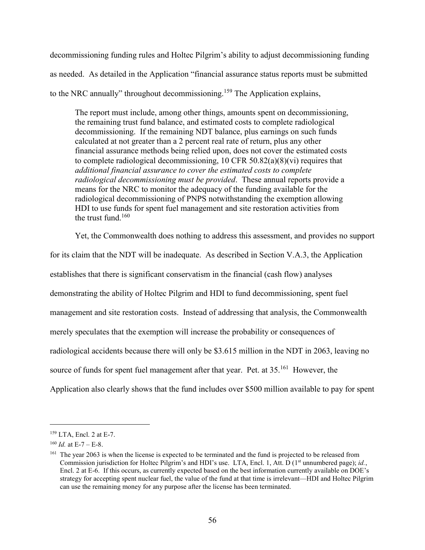decommissioning funding rules and Holtec Pilgrim's ability to adjust decommissioning funding as needed. As detailed in the Application "financial assurance status reports must be submitted to the NRC annually" throughout decommissioning.<sup>159</sup> The Application explains,

The report must include, among other things, amounts spent on decommissioning, the remaining trust fund balance, and estimated costs to complete radiological decommissioning. If the remaining NDT balance, plus earnings on such funds calculated at not greater than a 2 percent real rate of return, plus any other financial assurance methods being relied upon, does not cover the estimated costs to complete radiological decommissioning, 10 CFR 50.82(a)(8)(vi) requires that *additional financial assurance to cover the estimated costs to complete radiological decommissioning must be provided*. These annual reports provide a means for the NRC to monitor the adequacy of the funding available for the radiological decommissioning of PNPS notwithstanding the exemption allowing HDI to use funds for spent fuel management and site restoration activities from the trust fund. $160$ 

Yet, the Commonwealth does nothing to address this assessment, and provides no support

for its claim that the NDT will be inadequate. As described in Section V.A.3, the Application establishes that there is significant conservatism in the financial (cash flow) analyses demonstrating the ability of Holtec Pilgrim and HDI to fund decommissioning, spent fuel management and site restoration costs. Instead of addressing that analysis, the Commonwealth merely speculates that the exemption will increase the probability or consequences of radiological accidents because there will only be \$3.615 million in the NDT in 2063, leaving no source of funds for spent fuel management after that year. Pet. at 35.<sup>161</sup> However, the Application also clearly shows that the fund includes over \$500 million available to pay for spent

 <sup>159</sup> LTA, Encl. 2 at E-7.

 $^{160}$  *Id.* at E-7 – E-8.

<sup>&</sup>lt;sup>161</sup> The year 2063 is when the license is expected to be terminated and the fund is projected to be released from Commission jurisdiction for Holtec Pilgrim's and HDI's use. LTA, Encl. 1, Att. D (1<sup>st</sup> unnumbered page); *id.*, Encl. 2 at E-6. If this occurs, as currently expected based on the best information currently available on DOE's strategy for accepting spent nuclear fuel, the value of the fund at that time is irrelevant—HDI and Holtec Pilgrim can use the remaining money for any purpose after the license has been terminated.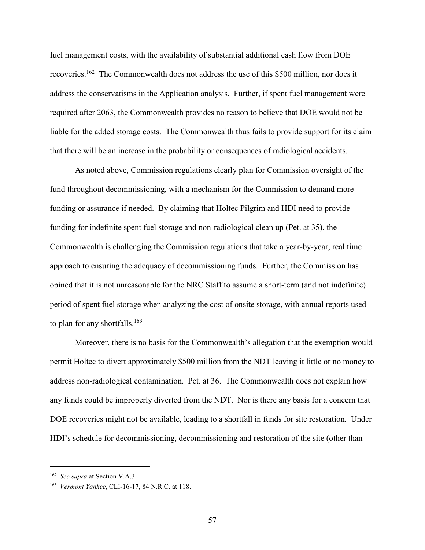fuel management costs, with the availability of substantial additional cash flow from DOE recoveries.<sup>162</sup> The Commonwealth does not address the use of this \$500 million, nor does it address the conservatisms in the Application analysis. Further, if spent fuel management were required after 2063, the Commonwealth provides no reason to believe that DOE would not be liable for the added storage costs. The Commonwealth thus fails to provide support for its claim that there will be an increase in the probability or consequences of radiological accidents.

As noted above, Commission regulations clearly plan for Commission oversight of the fund throughout decommissioning, with a mechanism for the Commission to demand more funding or assurance if needed. By claiming that Holtec Pilgrim and HDI need to provide funding for indefinite spent fuel storage and non-radiological clean up (Pet. at 35), the Commonwealth is challenging the Commission regulations that take a year-by-year, real time approach to ensuring the adequacy of decommissioning funds. Further, the Commission has opined that it is not unreasonable for the NRC Staff to assume a short-term (and not indefinite) period of spent fuel storage when analyzing the cost of onsite storage, with annual reports used to plan for any shortfalls.<sup>163</sup>

Moreover, there is no basis for the Commonwealth's allegation that the exemption would permit Holtec to divert approximately \$500 million from the NDT leaving it little or no money to address non-radiological contamination. Pet. at 36. The Commonwealth does not explain how any funds could be improperly diverted from the NDT. Nor is there any basis for a concern that DOE recoveries might not be available, leading to a shortfall in funds for site restoration. Under HDI's schedule for decommissioning, decommissioning and restoration of the site (other than

 <sup>162</sup> *See supra* at Section V.A.3.

<sup>163</sup> *Vermont Yankee*, CLI-16-17, 84 N.R.C. at 118.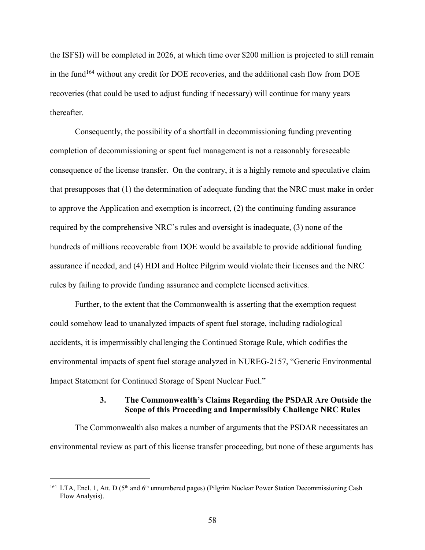the ISFSI) will be completed in 2026, at which time over \$200 million is projected to still remain in the fund<sup>164</sup> without any credit for DOE recoveries, and the additional cash flow from DOE recoveries (that could be used to adjust funding if necessary) will continue for many years thereafter.

Consequently, the possibility of a shortfall in decommissioning funding preventing completion of decommissioning or spent fuel management is not a reasonably foreseeable consequence of the license transfer. On the contrary, it is a highly remote and speculative claim that presupposes that (1) the determination of adequate funding that the NRC must make in order to approve the Application and exemption is incorrect, (2) the continuing funding assurance required by the comprehensive NRC's rules and oversight is inadequate, (3) none of the hundreds of millions recoverable from DOE would be available to provide additional funding assurance if needed, and (4) HDI and Holtec Pilgrim would violate their licenses and the NRC rules by failing to provide funding assurance and complete licensed activities.

Further, to the extent that the Commonwealth is asserting that the exemption request could somehow lead to unanalyzed impacts of spent fuel storage, including radiological accidents, it is impermissibly challenging the Continued Storage Rule, which codifies the environmental impacts of spent fuel storage analyzed in NUREG-2157, "Generic Environmental Impact Statement for Continued Storage of Spent Nuclear Fuel."

### **3. The Commonwealth's Claims Regarding the PSDAR Are Outside the Scope of this Proceeding and Impermissibly Challenge NRC Rules**

The Commonwealth also makes a number of arguments that the PSDAR necessitates an environmental review as part of this license transfer proceeding, but none of these arguments has

<sup>&</sup>lt;sup>164</sup> LTA, Encl. 1, Att. D ( $5<sup>th</sup>$  and  $6<sup>th</sup>$  unnumbered pages) (Pilgrim Nuclear Power Station Decommissioning Cash Flow Analysis).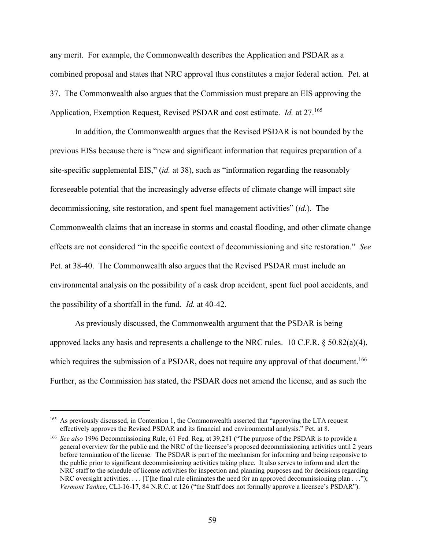any merit. For example, the Commonwealth describes the Application and PSDAR as a combined proposal and states that NRC approval thus constitutes a major federal action. Pet. at 37. The Commonwealth also argues that the Commission must prepare an EIS approving the Application, Exemption Request, Revised PSDAR and cost estimate. *Id.* at 27.<sup>165</sup>

In addition, the Commonwealth argues that the Revised PSDAR is not bounded by the previous EISs because there is "new and significant information that requires preparation of a site-specific supplemental EIS," (*id.* at 38), such as "information regarding the reasonably foreseeable potential that the increasingly adverse effects of climate change will impact site decommissioning, site restoration, and spent fuel management activities" (*id.*). The Commonwealth claims that an increase in storms and coastal flooding, and other climate change effects are not considered "in the specific context of decommissioning and site restoration." *See* Pet. at 38-40. The Commonwealth also argues that the Revised PSDAR must include an environmental analysis on the possibility of a cask drop accident, spent fuel pool accidents, and the possibility of a shortfall in the fund. *Id.* at 40-42.

As previously discussed, the Commonwealth argument that the PSDAR is being approved lacks any basis and represents a challenge to the NRC rules. 10 C.F.R.  $\S 50.82(a)(4)$ , which requires the submission of a PSDAR, does not require any approval of that document.<sup>166</sup> Further, as the Commission has stated, the PSDAR does not amend the license, and as such the

 <sup>165</sup> As previously discussed, in Contention 1, the Commonwealth asserted that "approving the LTA request effectively approves the Revised PSDAR and its financial and environmental analysis." Pet. at 8.

<sup>166</sup> *See also* 1996 Decommissioning Rule, 61 Fed. Reg. at 39,281 ("The purpose of the PSDAR is to provide a general overview for the public and the NRC of the licensee's proposed decommissioning activities until 2 years before termination of the license. The PSDAR is part of the mechanism for informing and being responsive to the public prior to significant decommissioning activities taking place. It also serves to inform and alert the NRC staff to the schedule of license activities for inspection and planning purposes and for decisions regarding NRC oversight activities.  $\dots$  [T]he final rule eliminates the need for an approved decommissioning plan  $\dots$ "); *Vermont Yankee*, CLI-16-17, 84 N.R.C. at 126 ("the Staff does not formally approve a licensee's PSDAR").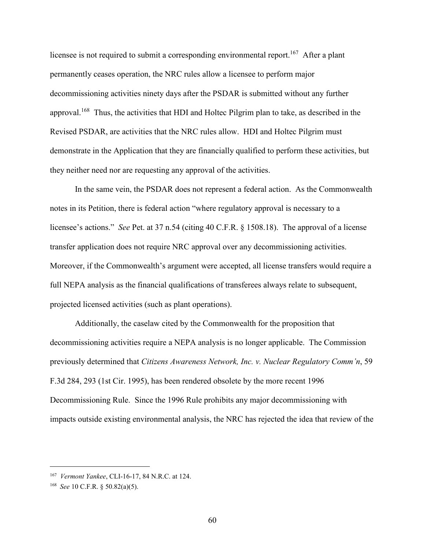licensee is not required to submit a corresponding environmental report.<sup>167</sup> After a plant permanently ceases operation, the NRC rules allow a licensee to perform major decommissioning activities ninety days after the PSDAR is submitted without any further approval.<sup>168</sup> Thus, the activities that HDI and Holtec Pilgrim plan to take, as described in the Revised PSDAR, are activities that the NRC rules allow. HDI and Holtec Pilgrim must demonstrate in the Application that they are financially qualified to perform these activities, but they neither need nor are requesting any approval of the activities.

In the same vein, the PSDAR does not represent a federal action. As the Commonwealth notes in its Petition, there is federal action "where regulatory approval is necessary to a licensee's actions." *See* Pet. at 37 n.54 (citing 40 C.F.R. § 1508.18). The approval of a license transfer application does not require NRC approval over any decommissioning activities. Moreover, if the Commonwealth's argument were accepted, all license transfers would require a full NEPA analysis as the financial qualifications of transferees always relate to subsequent, projected licensed activities (such as plant operations).

Additionally, the caselaw cited by the Commonwealth for the proposition that decommissioning activities require a NEPA analysis is no longer applicable. The Commission previously determined that *Citizens Awareness Network, Inc. v. Nuclear Regulatory Comm'n*, 59 F.3d 284, 293 (1st Cir. 1995), has been rendered obsolete by the more recent 1996 Decommissioning Rule. Since the 1996 Rule prohibits any major decommissioning with impacts outside existing environmental analysis, the NRC has rejected the idea that review of the

 <sup>167</sup> *Vermont Yankee*, CLI-16-17, 84 N.R.C. at 124.

<sup>168</sup> *See* 10 C.F.R. § 50.82(a)(5).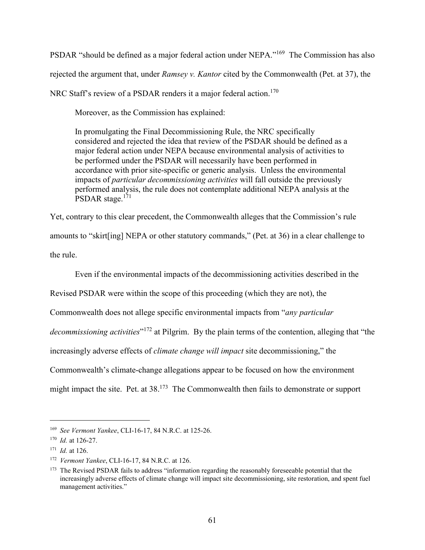PSDAR "should be defined as a major federal action under NEPA."169 The Commission has also rejected the argument that, under *Ramsey v. Kantor* cited by the Commonwealth (Pet. at 37), the NRC Staff's review of a PSDAR renders it a major federal action.<sup>170</sup>

Moreover, as the Commission has explained:

In promulgating the Final Decommissioning Rule, the NRC specifically considered and rejected the idea that review of the PSDAR should be defined as a major federal action under NEPA because environmental analysis of activities to be performed under the PSDAR will necessarily have been performed in accordance with prior site-specific or generic analysis. Unless the environmental impacts of *particular decommissioning activities* will fall outside the previously performed analysis, the rule does not contemplate additional NEPA analysis at the PSDAR stage.<sup>171</sup>

Yet, contrary to this clear precedent, the Commonwealth alleges that the Commission's rule amounts to "skirt[ing] NEPA or other statutory commands," (Pet. at 36) in a clear challenge to the rule.

Even if the environmental impacts of the decommissioning activities described in the

Revised PSDAR were within the scope of this proceeding (which they are not), the

Commonwealth does not allege specific environmental impacts from "*any particular* 

*decommissioning activities*"<sup>172</sup> at Pilgrim. By the plain terms of the contention, alleging that "the

increasingly adverse effects of *climate change will impact* site decommissioning," the

Commonwealth's climate-change allegations appear to be focused on how the environment

might impact the site. Pet. at 38.173 The Commonwealth then fails to demonstrate or support

 <sup>169</sup> *See Vermont Yankee*, CLI-16-17, 84 N.R.C. at 125-26.

<sup>170</sup> *Id.* at 126-27.

<sup>171</sup> *Id.* at 126.

<sup>172</sup> *Vermont Yankee*, CLI-16-17, 84 N.R.C. at 126.

<sup>&</sup>lt;sup>173</sup> The Revised PSDAR fails to address "information regarding the reasonably foreseeable potential that the increasingly adverse effects of climate change will impact site decommissioning, site restoration, and spent fuel management activities."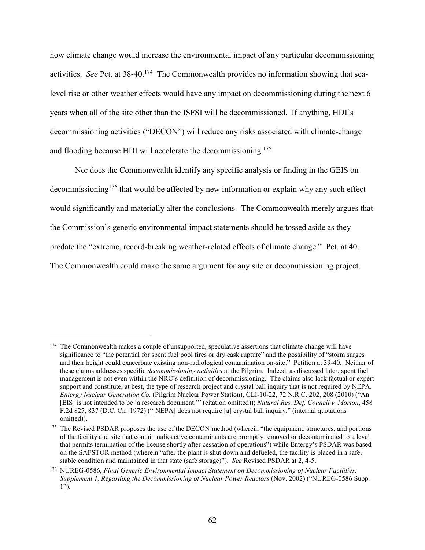how climate change would increase the environmental impact of any particular decommissioning activities. *See* Pet. at 38-40.<sup>174</sup> The Commonwealth provides no information showing that sealevel rise or other weather effects would have any impact on decommissioning during the next 6 years when all of the site other than the ISFSI will be decommissioned. If anything, HDI's decommissioning activities ("DECON") will reduce any risks associated with climate-change and flooding because HDI will accelerate the decommissioning.<sup>175</sup>

Nor does the Commonwealth identify any specific analysis or finding in the GEIS on decommissioning<sup>176</sup> that would be affected by new information or explain why any such effect would significantly and materially alter the conclusions. The Commonwealth merely argues that the Commission's generic environmental impact statements should be tossed aside as they predate the "extreme, record-breaking weather-related effects of climate change." Pet. at 40. The Commonwealth could make the same argument for any site or decommissioning project.

<sup>&</sup>lt;sup>174</sup> The Commonwealth makes a couple of unsupported, speculative assertions that climate change will have significance to "the potential for spent fuel pool fires or dry cask rupture" and the possibility of "storm surges and their height could exacerbate existing non-radiological contamination on-site." Petition at 39-40. Neither of these claims addresses specific *decommissioning activities* at the Pilgrim. Indeed, as discussed later, spent fuel management is not even within the NRC's definition of decommissioning. The claims also lack factual or expert support and constitute, at best, the type of research project and crystal ball inquiry that is not required by NEPA. *Entergy Nuclear Generation Co.* (Pilgrim Nuclear Power Station), CLI-10-22, 72 N.R.C. 202, 208 (2010) ("An [EIS] is not intended to be 'a research document.'" (citation omitted)); *Natural Res. Def. Council v. Morton*, 458 F.2d 827, 837 (D.C. Cir. 1972) ("[NEPA] does not require [a] crystal ball inquiry." (internal quotations omitted)).

<sup>&</sup>lt;sup>175</sup> The Revised PSDAR proposes the use of the DECON method (wherein "the equipment, structures, and portions of the facility and site that contain radioactive contaminants are promptly removed or decontaminated to a level that permits termination of the license shortly after cessation of operations") while Entergy's PSDAR was based on the SAFSTOR method (wherein "after the plant is shut down and defueled, the facility is placed in a safe, stable condition and maintained in that state (safe storage)"). *See* Revised PSDAR at 2, 4-5.

<sup>176</sup> NUREG-0586, *Final Generic Environmental Impact Statement on Decommissioning of Nuclear Facilities: Supplement 1, Regarding the Decommissioning of Nuclear Power Reactors (Nov. 2002) ("NUREG-0586 Supp.* 1").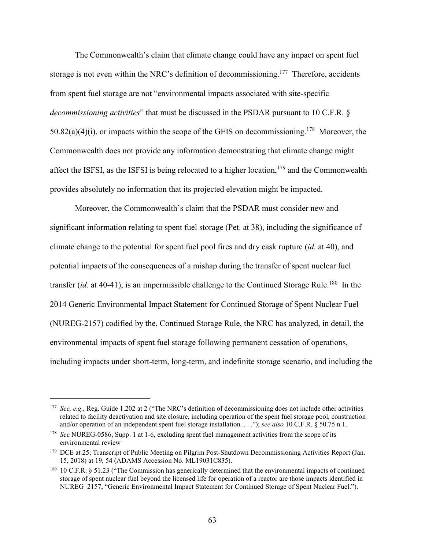The Commonwealth's claim that climate change could have any impact on spent fuel storage is not even within the NRC's definition of decommissioning.<sup>177</sup> Therefore, accidents from spent fuel storage are not "environmental impacts associated with site-specific *decommissioning activities*" that must be discussed in the PSDAR pursuant to 10 C.F.R. §  $50.82(a)(4)(i)$ , or impacts within the scope of the GEIS on decommissioning.<sup>178</sup> Moreover, the Commonwealth does not provide any information demonstrating that climate change might affect the ISFSI, as the ISFSI is being relocated to a higher location,<sup>179</sup> and the Commonwealth provides absolutely no information that its projected elevation might be impacted.

Moreover, the Commonwealth's claim that the PSDAR must consider new and significant information relating to spent fuel storage (Pet. at 38), including the significance of climate change to the potential for spent fuel pool fires and dry cask rupture (*id.* at 40), and potential impacts of the consequences of a mishap during the transfer of spent nuclear fuel transfer  $(id.$  at 40-41), is an impermissible challenge to the Continued Storage Rule.<sup>180</sup> In the 2014 Generic Environmental Impact Statement for Continued Storage of Spent Nuclear Fuel (NUREG-2157) codified by the, Continued Storage Rule, the NRC has analyzed, in detail, the environmental impacts of spent fuel storage following permanent cessation of operations, including impacts under short-term, long-term, and indefinite storage scenario, and including the

<sup>&</sup>lt;sup>177</sup> *See, e.g.,* Reg. Guide 1.202 at 2 ("The NRC's definition of decommissioning does not include other activities related to facility deactivation and site closure, including operation of the spent fuel storage pool, construction and/or operation of an independent spent fuel storage installation. . . ."); *see also* 10 C.F.R. § 50.75 n.1.

<sup>178</sup> *See* NUREG-0586, Supp. 1 at 1-6, excluding spent fuel management activities from the scope of its environmental review

<sup>&</sup>lt;sup>179</sup> DCE at 25; Transcript of Public Meeting on Pilgrim Post-Shutdown Decommissioning Activities Report (Jan. 15, 2018) at 19, 54 (ADAMS Accession No. ML19031C835).

<sup>180</sup> 10 C.F.R. § 51.23 ("The Commission has generically determined that the environmental impacts of continued storage of spent nuclear fuel beyond the licensed life for operation of a reactor are those impacts identified in NUREG–2157, "Generic Environmental Impact Statement for Continued Storage of Spent Nuclear Fuel.").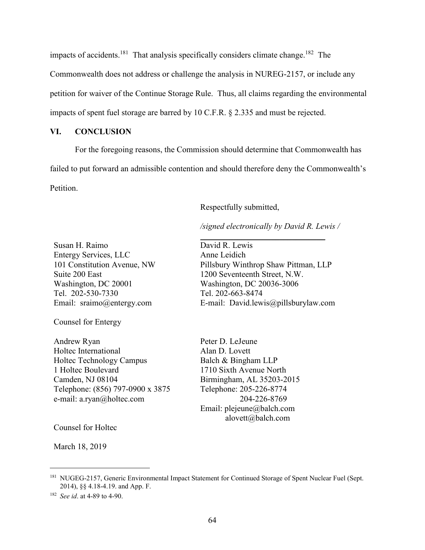impacts of accidents.<sup>181</sup> That analysis specifically considers climate change.<sup>182</sup> The Commonwealth does not address or challenge the analysis in NUREG-2157, or include any petition for waiver of the Continue Storage Rule. Thus, all claims regarding the environmental impacts of spent fuel storage are barred by 10 C.F.R. § 2.335 and must be rejected.

### **VI. CONCLUSION**

For the foregoing reasons, the Commission should determine that Commonwealth has failed to put forward an admissible contention and should therefore deny the Commonwealth's Petition.

Respectfully submitted,

*/signed electronically by David R. Lewis /*

\_\_\_\_\_\_\_\_\_\_\_\_\_\_\_\_\_\_\_\_\_\_\_\_\_\_\_\_\_\_

Susan H. Raimo Entergy Services, LLC 101 Constitution Avenue, NW Suite 200 East Washington, DC 20001 Tel. 202-530-7330 Email: sraimo@entergy.com

Counsel for Entergy

Andrew Ryan Holtec International Holtec Technology Campus 1 Holtec Boulevard Camden, NJ 08104 Telephone: (856) 797-0900 x 3875 e-mail: a.ryan@holtec.com

David R. Lewis Anne Leidich Pillsbury Winthrop Shaw Pittman, LLP 1200 Seventeenth Street, N.W. Washington, DC 20036-3006 Tel. 202-663-8474 E-mail: David.lewis@pillsburylaw.com

Peter D. LeJeune Alan D. Lovett Balch & Bingham LLP 1710 Sixth Avenue North Birmingham, AL 35203-2015 Telephone: 205-226-8774 204-226-8769 Email: plejeune@balch.com alovett@balch.com

Counsel for Holtec

March 18, 2019

<sup>&</sup>lt;sup>181</sup> NUGEG-2157, Generic Environmental Impact Statement for Continued Storage of Spent Nuclear Fuel (Sept. 2014), §§ 4.18-4.19. and App. F.

<sup>182</sup> *See id*. at 4-89 to 4-90.